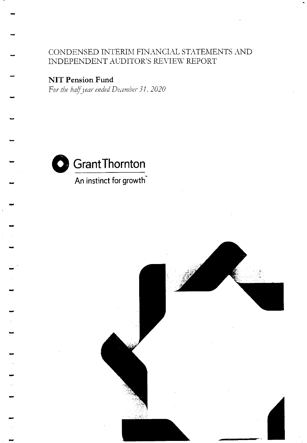CONDENSED INTERIM FINANCIAL STATEMENTS AND INDEPENDENT AUDITOR'S REVIEW REPORT

**NIT Pension Fund** 

For the half year ended December 31, 2020



An instinct for growth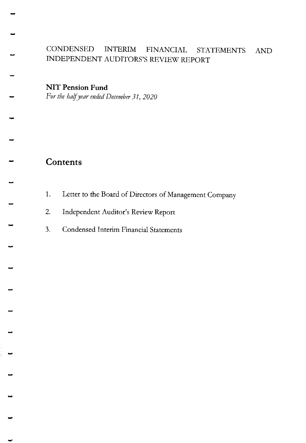## CONDENSED INTERIM FINANCIAL STATEMENTS AND INDEPENDENT AUDITORS'S REVIEW REPORT

NIT Pension Fund

For the half year ended December 31, 2020

# **Contents**

- 1. Letter to the Board of Directors of Management Company
- 2. Independent Auditor's Review Report
- 3. Condensed Interim Financial Statements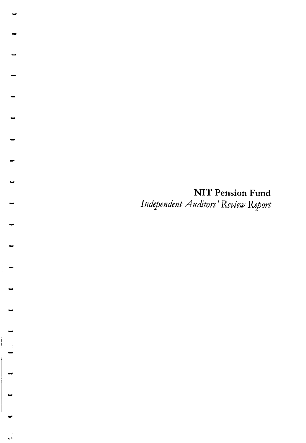**NIT Pension Fund** Independent Auditors' Review Report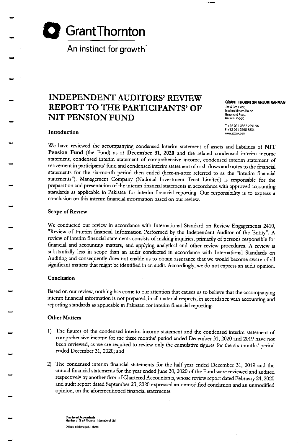

An instinct for growth

# INDEPENDENT AUDITORS' REYIEW REPORT TO THE PARTICIPANTS'OF NIT PENSION FUND

GRANT THORNTON ANJUM RAHMAN 1st & 3rd Floor,<br>Modern Motors House Beaumont Road. Karachi 75530

T +92 021 3567 2951,56 F +92 021 3568 8834

Introduction

We have reviewed the accompanying condensed interim statement of assets and liabilities of NIT Pension Fund (the Fund) as at December 31, 2020 and the related condensed interim income statement, condensed interim statement of comprehensive income, condensed interim statement of movement in participants' fund and condensed interim statement of cash flows and notes to the financial statements for the six-month period then ended (here-in-after referred to as the "interim financial statements"). Management Company (National Investment Trust Limited) is responsible for the prepamtion and presentation of the interim financial statements in accordance with approved accounting standards as applicable in Pakistan fot interim Enancial reporting. Our tesponsibility is to express <sup>a</sup> conclusion on this interim financial information based on our review.

#### Scope of Review

We conducted our review in accordance with International Standard on Review Engagements 2410, "Review of Interim Enancial Information Petformed by the Independent Auditor of the Entity". A review of interim financial statements consists of making inquiries, primarily of persons responsible for financial and accounting matters, and applying analytical and other review procedures. A review is substantially less in scope than an audit conducted in accordance with International Standards on Auditing and consequently does not enable us to obtain assurance that we would become aware of all significant matters that might be identified in an audit. Accordingly, we do not express an audit opinion.

#### Conclusion

Based on our review, nothing has come to our attention that causes us to believe that the accompanying interim financial information is not prepared, in all material respects, in accordance with accounting and reporting standards as applicable in Pakistan for interim financial reporting.

#### Other Matters

- 1) The figures of the condensed interim income statement and the condensed interim statement of comprehensive income for the thtee months'period ended December 31,2020 and 2019 have not been reviewed, as we are required to review only the cumulative figues for the six months' period ended December 31,2020; and
- The condensed interim financial sratements for the half year ended December 31, 2019 and the annual financial statements for the year ended June 30, 2020 of the Fund were reviewed and audited respectively by another firm of Chartered Accountants, whose review report dated February 24, 2020 and audit report dated September 23, 2020 expressed an unmodified conclusion and an unmodified opinion, on the aforementioned financial statements.

Chartered Accountants<br>Member of Grant Thomton International Ltd Offices in Islamabad. Lahore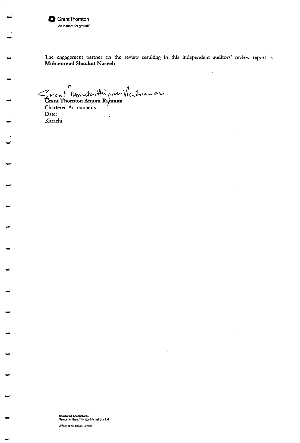

The engagement partner on the review resulting in this independent auditors' review report is Muhammad Shaukat Naseeb.

Grant Vourtouthin un Valon en

Chartered Accountants Date: Karachi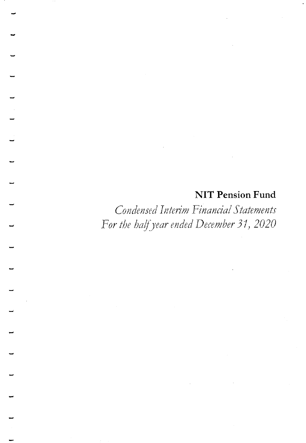# **NIT Pension Fund**

Condensed Interim Financial Statements For the half year ended December 31, 2020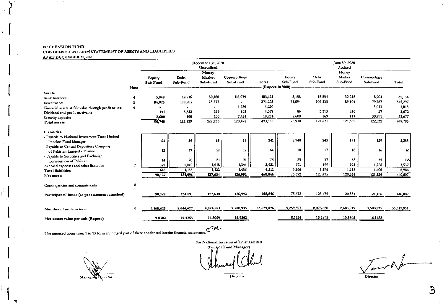#### NIT PENSION FUND CONDENSED INTERIM STATEMENT OF ASSETS AND LIABILITIES AS AT DECEMBER 31, 2020

contractors and

|                                                                          |      |                           |                  | December 31, 2020<br>Unaudited |                                       | June 30, 2020<br>Audited |                    |                  |                             |                         |            |
|--------------------------------------------------------------------------|------|---------------------------|------------------|--------------------------------|---------------------------------------|--------------------------|--------------------|------------------|-----------------------------|-------------------------|------------|
|                                                                          |      | <b>Equity</b><br>Sub-Fund | Debt<br>Sub-Fund | Money<br>Market<br>Sub-Fund    | <b>Commodities</b><br><b>Sub-Fund</b> | Total                    | Equity<br>Sub-Fund | Debt<br>Sub-Fund | Money<br>Market<br>Sub-Fund | Commodities<br>Sub-Fund | Total      |
|                                                                          | Note |                           |                  |                                |                                       | (Rupees in '000)         |                    |                  |                             |                         |            |
| Assets                                                                   |      |                           |                  |                                |                                       |                          |                    |                  |                             |                         |            |
| <b>Bank</b> balances                                                     |      | 3.949                     | 12,916           | 50,180                         | 116,079                               | 183,124                  | 5,158              | 15,854           | 32,218                      | 8,904                   | 62,134     |
| Investments                                                              | 5    | 84,025                    | 108,901          | 78,277                         |                                       | 271,203                  | 71,094             | 105,335          | 89,101                      | 79,767                  | 345,297    |
| Financial assets at fair value through profit or loss                    | 6    |                           |                  |                                | 4,220                                 | 4,220                    |                    |                  |                             | 3,013                   | 3,013      |
| Dividend and profit receivable                                           |      | 171                       | 3,312            | 199                            | 695                                   | 4,377                    | 86                 | 3,313            | 216                         | 57                      | 3,672      |
| Security deposits                                                        |      | 2,600                     | 100              | 100                            | 7,434                                 | 10,234                   | 2,600              | 169              | 117                         | 30,791                  | 33,677     |
| <b>Total assets</b>                                                      |      | 90,745                    | 125,229          | 128,756                        | 128,428                               | 473,158                  | 78,938             | 124,671          | 121,652                     | 122,532                 | 447,793    |
| Liabilities                                                              |      |                           |                  |                                |                                       |                          |                    |                  |                             |                         |            |
| - Pavable to National Investment Trust Limited -<br>Pension Fund Manager |      | 63                        | 59               | 65                             | 54                                    | 241                      | 2,740              | 243              | 141                         | 129                     | 3,253      |
| - Payable to Central Depository Company<br>of Pakistan Limited - Trustee |      | 12                        | 17               | 18                             | 17 <sub>2</sub>                       | 64                       | 10                 | 17               | 18                          | 16                      | 61         |
| - Payable to Securities and Exchange                                     |      |                           |                  |                                |                                       |                          |                    |                  |                             |                         |            |
| Commission of Pakistan                                                   |      | 14                        | 20               | 21                             | 21                                    | 76                       | 25                 | 37               | 38                          | 35                      | 135        |
| Accrued expenses and other liabilities                                   | 7    | 527                       | 1,042            | 1,018                          | 1,344                                 | 3,931                    | 491                | 899              | 921                         | 1,226                   | 3,537      |
| <b>Total liabilities</b>                                                 |      | 616                       | 1,138            | 1,122                          | 1,436                                 | 4,312                    | 3,266              | 1,196            | 1,118                       | 1,406                   | 6,986      |
| Net assets                                                               |      | 90,129                    | 124,091          | 127,634                        | 126,992                               | 468,846                  | 75,672             | 123,475          | 120,534                     | 121,126                 | 440,807    |
| Contingencies and commitments                                            | 8    |                           |                  |                                |                                       |                          |                    |                  |                             |                         |            |
| Participants' funds (as per statement attached)                          |      | 90,129                    | 124,091          | 127,634                        | 126,992                               | 468,846                  | 75,672             | 123,475          | 120,534                     | 121,126                 | 440,807    |
|                                                                          |      |                           |                  |                                |                                       |                          |                    |                  |                             |                         |            |
| Number of units in issue                                                 | 9.   | 9,168,623                 | 8,044,627        | 8,924,891                      | 7,500,935                             | 33,639,076               | 9.259,397          | 8,075,680        | 8,683,919                   | 7,500,935               | 33,519,931 |
| Net assets value per unit (Rupees)                                       |      | 9.8302                    | 15.4253          | 14.3009                        | 16.9302                               |                          | 8.1724             | 15.2898          | 13.8802                     | 16.1482                 |            |
|                                                                          |      |                           |                  |                                |                                       |                          |                    |                  |                             |                         |            |

The annexed notes from 1 to 13 form an integral part of these condensed interim financial statements.  $C \widehat{\mathsf{1}}^{\mathsf{M}}$ 

Managing Qirector

For National Investment Trust Limited (Pension Fund Manager)

Director

**Director** 

 $\mathfrak{S}$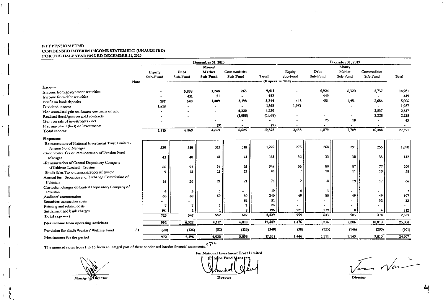#### NIT PENSION FUND CONDENSED INTERIM INCOME STATEMENT (UNAUDITED) FOR THE HALF YEAR ENDED DECEMBER 31, 2020

 $\sim$   $\sim$   $\sim$ 

|                                                      |       |          |          | December 31, 2020 |              |                  | December 31, 2019 |          |          |             |        |  |
|------------------------------------------------------|-------|----------|----------|-------------------|--------------|------------------|-------------------|----------|----------|-------------|--------|--|
|                                                      |       |          |          | Money             |              |                  |                   |          | Money    |             |        |  |
|                                                      |       | Equity   | Debt     | Market            | Commodities  |                  | Equity            | Debt     | Market   | Commodities |        |  |
|                                                      |       | Sub-Fund | Sub-Fund | Sub-Fund          | Sub-Fund     | Total            | Sub-Fund          | Sub-Fund | Sub-Fund | Sub-Fund    | Total  |  |
|                                                      | Note: |          |          |                   |              | (Rupees in '000) |                   |          |          |             |        |  |
| Income                                               |       |          |          |                   |              |                  |                   |          |          |             |        |  |
| Income from government securities                    |       |          | 5,898    | 3,248             | 265          | 9,411            |                   | 5,924    | 6,320    | 2,737       | 14,981 |  |
| Income from debt securities                          |       |          | 431      | 21                |              | 452              |                   | 449      |          |             | 449    |  |
| Profit on bank deposits                              |       | 197      | 540      | 1,409             | 3,198        | 5,344            | 448               | 481      | 1,451    | 2,686       | 5,066  |  |
| Dividend income                                      |       | 1,518    |          |                   |              | 1,518            | 1,987             |          |          |             | 1,987  |  |
| Net unrealised gain on futures contracts of gold     |       |          |          |                   | 4,220        | 4,220            |                   |          |          | 2,837       | 2,837  |  |
| Realised (loss)/gain on gold contracts               |       |          |          |                   | (1,058)      | (1, 058)         |                   |          |          | 2,228       | 2,228  |  |
| Gain on sale of investments - net                    |       |          |          |                   |              |                  |                   | 25       | 18       |             | 43     |  |
| Net unrealised (loss) on investments                 |       |          |          | (9)               |              | (9)              |                   |          |          |             |        |  |
| Total income                                         |       | 1,715    | 6,869    | 4,669             | 6,625        | 19,878           | 2,435             | 6,879    | 7,789    | 10,488      | 27,591 |  |
| <b>Expenses</b>                                      |       |          |          |                   |              |                  |                   |          |          |             |        |  |
| -Remuneration of National Investment Trust Limited - |       |          |          |                   |              |                  |                   |          |          |             |        |  |
| Pension Fund Manager                                 |       | 329      | 310      | 313               | 318          | 1,270            | 275               | 268      | 291      | 256         | 1,090  |  |
| -Sindh Sales Tax on remuneration of Pension Fund     |       |          |          |                   |              |                  |                   |          |          |             |        |  |
| Manager                                              |       | 43       | 40       | 41                | 41           | 165              | 36                | 35       | 38       | 33          | 142    |  |
| -Remuneration of Central Depository Company          |       |          |          |                   |              |                  |                   |          |          |             |        |  |
| of Pakistan Limited - Trustee                        |       | 66       | 93       | 94                | 95           | 348              | 55                | 80       | 87       | 77          | 299    |  |
| -Sindh Sales Tax on remuneration of trustee          |       | Q        | 12       | 12                | $12 \,$      | 45               |                   | 10       | 11       | 10          | 38     |  |
| Annual fee - Securities and Exchange Commission of   |       |          |          |                   |              |                  |                   |          |          |             |        |  |
| Pakistan                                             |       | 14       | 20       | 21                | 21           | 76               | 12                | 18       | 19       | 17          | 66     |  |
| Custodian charges of Central Depository Company of   |       |          |          |                   |              |                  |                   |          |          |             |        |  |
| Pakistan                                             |       |          |          | 3                 |              | 10               |                   |          |          |             | 7      |  |
| Auditors remuneration                                |       | 60       | 60       | 60                | 60           | 240              | 49                | 50       | 49       | 49          | 197    |  |
| Securities transaction costs                         |       |          |          |                   | 51           | 51               |                   |          |          | 32          | 32     |  |
| Printing and related costs                           |       | 7        | 7        |                   |              | 28               |                   |          |          |             |        |  |
| Settlement and bank charges                          |       | 191      | 2        |                   | $\mathbf{z}$ | 196              | 521               | 179      | 8        |             | 712    |  |
| Total expenses                                       |       | 723      | 547      | 552               | 607          | 2,429            | 959               | 643      | 503      | 478         | 2,583  |  |
| Net income from operating activities                 |       | 992      | 6,322    | 4,117             | 6,018        | 17,449           | 1,476             | 6,236    | 7,286    | 10,010      | 25,008 |  |
| Provision for Sindh Workers' Welfare Fund            | 7.1   | (20)     | (126)    | (82)              | (120)        | (348)            | (30)              | (125)    | (146)    | (200)       | (501)  |  |
| Net income for the period                            |       | 972      | 6,196    | 4,035             | 5,898        | 17,101           | 1,446             | 6,111    | 7,140    | 9,810       | 24,507 |  |
|                                                      |       |          |          |                   |              |                  |                   |          |          |             |        |  |

The annexed notes from 1 to 13 form an integral part of these condensed interim financial statements.

For National Investment Trust Limited (Pension Fund Manager)

Director

 $\frac{1}{\sqrt{c^{2}-1}}$   $\frac{1}{\sqrt{c^{2}-1}}$ 

Managing Director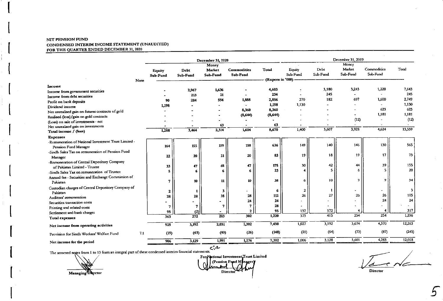#### NIT PENSION FUND CONDENSED INTERIM INCOME STATEMENT (UNAUDITED) FOR THE QUARTER ENDED DECEMBER 31, 2020

| Money<br>Money<br>Commodities<br>Total<br>Market<br>Debt<br>Equity<br><b>Commodities</b><br>Total<br>Market<br>Debt<br><b>Equity</b><br>Sub-Fund<br>Sub-Fund<br>Sub-Fund<br>Sub-Fund<br>Sub-Fund<br>Sub-Fund<br>Sub-Fund<br>Sub-Fund<br>(Rupces in '000)<br>Note<br>Income<br>1,220<br>7.643<br>3,180<br>3,243<br>4,603<br>1,636<br>2,967<br>Income from government securities<br>245<br>245<br>234<br>. .<br>21<br>213<br>Income from debt securities<br>2,749<br>182<br>697<br>1,600<br>270<br>2,856<br>1,888<br>594<br>284<br>90<br>Profit on bank deposits<br>1,130<br>1,198<br>1,130<br>1,198<br>Dividend income<br>623<br>623<br>8,360<br>8,360<br>Net unrealised gain on futures contracts of gold<br>1,181<br>1,181<br>(8, 644)<br>(8,644)<br>Realised (loss)/gain on gold contracts<br>(12)<br>(12)<br>(Loss) on sale of investments - net<br>63<br>63<br>$\hat{\phantom{a}}$<br>Net unrealised gain on investments<br>13.559<br>3,928<br>4.624<br>3,607<br>8,670<br>1,400<br>2,314<br>1,604<br>3,464<br>1,288<br>Total income / (loss)<br><b>Expenses</b><br>-Remuneration of National Investment Trust Limited -<br>565<br>130<br>140<br>146<br>636<br>149<br>158<br>159<br>155<br>164<br>Pension Fund Manager<br>-Sindh Sales Tax on remuneration of Pension Fund<br>17<br>73<br>18<br>19<br>19<br>83<br>20<br>21<br>20<br>22<br>Manager<br>-Remuneration of Central Depository Company<br>155<br>42<br>39<br>175<br>30<br>44<br>47<br>48<br>47<br>33<br>of Pakistan Limited - Trustee<br>20<br>5<br>5<br>23<br>6<br>6<br>5<br>6<br>-Sindh Sales Tax on remuneration of Trustee<br>Annual fee - Securities and Exchange Commission of<br>9<br>9<br>34<br>10<br>38<br>10<br>6<br>11<br>10<br>7<br>Pakistan<br>Custodian charges of Central Depository Company of<br>2<br>6<br>3<br>$\overline{\phantom{a}}$<br>2<br>1<br>Pakistan<br>105<br>27<br>26<br>26<br>26<br>112<br>28<br>28<br>28<br>28<br>Auditors' remuneration<br>24<br>24<br>24<br>24<br>Securities transaction costs<br>28<br>7<br>7<br>7<br>7<br>Printing and related costs<br>317<br>172<br>95<br>157<br>4<br>2<br>(2)<br>95<br>Settlement and bank charges<br>254<br>254<br>1,296<br>373<br>415<br>302<br>1,220<br>$\overline{283}$<br>272<br>363<br>Total expenses<br>4,370<br>12,263<br>3,192<br>3,674<br>1,027<br>1,302<br>7,450<br>2,031<br>3,192<br>925<br>Net income from operating activities<br>(245)<br>(87)<br>(64)<br>(73)<br>(148)<br>(21)<br>(40)<br>(26)<br>(63)<br>(19)<br>7.1<br>Provision for Sindh Workers' Welfare Fund<br>4,283<br>12,018<br>3,128<br>3,601<br>1,006<br>7,302<br>1,991<br>1,276<br>3,129<br>906<br>Net income for the period |  |  | December 31, 2020 |  | December 31, 2019 |  |  |  |  |  |
|---------------------------------------------------------------------------------------------------------------------------------------------------------------------------------------------------------------------------------------------------------------------------------------------------------------------------------------------------------------------------------------------------------------------------------------------------------------------------------------------------------------------------------------------------------------------------------------------------------------------------------------------------------------------------------------------------------------------------------------------------------------------------------------------------------------------------------------------------------------------------------------------------------------------------------------------------------------------------------------------------------------------------------------------------------------------------------------------------------------------------------------------------------------------------------------------------------------------------------------------------------------------------------------------------------------------------------------------------------------------------------------------------------------------------------------------------------------------------------------------------------------------------------------------------------------------------------------------------------------------------------------------------------------------------------------------------------------------------------------------------------------------------------------------------------------------------------------------------------------------------------------------------------------------------------------------------------------------------------------------------------------------------------------------------------------------------------------------------------------------------------------------------------------------------------------------------------------------------------------------------------------------------------------------------------------------------------------------------------------------------------------------------------------------------------------------------------------------------------------------------------------------------------------------------------------------------------------------------------------------------------------------|--|--|-------------------|--|-------------------|--|--|--|--|--|
| $\overline{\mathbf{3}}$                                                                                                                                                                                                                                                                                                                                                                                                                                                                                                                                                                                                                                                                                                                                                                                                                                                                                                                                                                                                                                                                                                                                                                                                                                                                                                                                                                                                                                                                                                                                                                                                                                                                                                                                                                                                                                                                                                                                                                                                                                                                                                                                                                                                                                                                                                                                                                                                                                                                                                                                                                                                                     |  |  |                   |  |                   |  |  |  |  |  |
|                                                                                                                                                                                                                                                                                                                                                                                                                                                                                                                                                                                                                                                                                                                                                                                                                                                                                                                                                                                                                                                                                                                                                                                                                                                                                                                                                                                                                                                                                                                                                                                                                                                                                                                                                                                                                                                                                                                                                                                                                                                                                                                                                                                                                                                                                                                                                                                                                                                                                                                                                                                                                                             |  |  |                   |  |                   |  |  |  |  |  |
|                                                                                                                                                                                                                                                                                                                                                                                                                                                                                                                                                                                                                                                                                                                                                                                                                                                                                                                                                                                                                                                                                                                                                                                                                                                                                                                                                                                                                                                                                                                                                                                                                                                                                                                                                                                                                                                                                                                                                                                                                                                                                                                                                                                                                                                                                                                                                                                                                                                                                                                                                                                                                                             |  |  |                   |  |                   |  |  |  |  |  |
|                                                                                                                                                                                                                                                                                                                                                                                                                                                                                                                                                                                                                                                                                                                                                                                                                                                                                                                                                                                                                                                                                                                                                                                                                                                                                                                                                                                                                                                                                                                                                                                                                                                                                                                                                                                                                                                                                                                                                                                                                                                                                                                                                                                                                                                                                                                                                                                                                                                                                                                                                                                                                                             |  |  |                   |  |                   |  |  |  |  |  |
|                                                                                                                                                                                                                                                                                                                                                                                                                                                                                                                                                                                                                                                                                                                                                                                                                                                                                                                                                                                                                                                                                                                                                                                                                                                                                                                                                                                                                                                                                                                                                                                                                                                                                                                                                                                                                                                                                                                                                                                                                                                                                                                                                                                                                                                                                                                                                                                                                                                                                                                                                                                                                                             |  |  |                   |  |                   |  |  |  |  |  |
|                                                                                                                                                                                                                                                                                                                                                                                                                                                                                                                                                                                                                                                                                                                                                                                                                                                                                                                                                                                                                                                                                                                                                                                                                                                                                                                                                                                                                                                                                                                                                                                                                                                                                                                                                                                                                                                                                                                                                                                                                                                                                                                                                                                                                                                                                                                                                                                                                                                                                                                                                                                                                                             |  |  |                   |  |                   |  |  |  |  |  |
|                                                                                                                                                                                                                                                                                                                                                                                                                                                                                                                                                                                                                                                                                                                                                                                                                                                                                                                                                                                                                                                                                                                                                                                                                                                                                                                                                                                                                                                                                                                                                                                                                                                                                                                                                                                                                                                                                                                                                                                                                                                                                                                                                                                                                                                                                                                                                                                                                                                                                                                                                                                                                                             |  |  |                   |  |                   |  |  |  |  |  |
|                                                                                                                                                                                                                                                                                                                                                                                                                                                                                                                                                                                                                                                                                                                                                                                                                                                                                                                                                                                                                                                                                                                                                                                                                                                                                                                                                                                                                                                                                                                                                                                                                                                                                                                                                                                                                                                                                                                                                                                                                                                                                                                                                                                                                                                                                                                                                                                                                                                                                                                                                                                                                                             |  |  |                   |  |                   |  |  |  |  |  |
|                                                                                                                                                                                                                                                                                                                                                                                                                                                                                                                                                                                                                                                                                                                                                                                                                                                                                                                                                                                                                                                                                                                                                                                                                                                                                                                                                                                                                                                                                                                                                                                                                                                                                                                                                                                                                                                                                                                                                                                                                                                                                                                                                                                                                                                                                                                                                                                                                                                                                                                                                                                                                                             |  |  |                   |  |                   |  |  |  |  |  |
|                                                                                                                                                                                                                                                                                                                                                                                                                                                                                                                                                                                                                                                                                                                                                                                                                                                                                                                                                                                                                                                                                                                                                                                                                                                                                                                                                                                                                                                                                                                                                                                                                                                                                                                                                                                                                                                                                                                                                                                                                                                                                                                                                                                                                                                                                                                                                                                                                                                                                                                                                                                                                                             |  |  |                   |  |                   |  |  |  |  |  |
|                                                                                                                                                                                                                                                                                                                                                                                                                                                                                                                                                                                                                                                                                                                                                                                                                                                                                                                                                                                                                                                                                                                                                                                                                                                                                                                                                                                                                                                                                                                                                                                                                                                                                                                                                                                                                                                                                                                                                                                                                                                                                                                                                                                                                                                                                                                                                                                                                                                                                                                                                                                                                                             |  |  |                   |  |                   |  |  |  |  |  |
|                                                                                                                                                                                                                                                                                                                                                                                                                                                                                                                                                                                                                                                                                                                                                                                                                                                                                                                                                                                                                                                                                                                                                                                                                                                                                                                                                                                                                                                                                                                                                                                                                                                                                                                                                                                                                                                                                                                                                                                                                                                                                                                                                                                                                                                                                                                                                                                                                                                                                                                                                                                                                                             |  |  |                   |  |                   |  |  |  |  |  |
|                                                                                                                                                                                                                                                                                                                                                                                                                                                                                                                                                                                                                                                                                                                                                                                                                                                                                                                                                                                                                                                                                                                                                                                                                                                                                                                                                                                                                                                                                                                                                                                                                                                                                                                                                                                                                                                                                                                                                                                                                                                                                                                                                                                                                                                                                                                                                                                                                                                                                                                                                                                                                                             |  |  |                   |  |                   |  |  |  |  |  |
|                                                                                                                                                                                                                                                                                                                                                                                                                                                                                                                                                                                                                                                                                                                                                                                                                                                                                                                                                                                                                                                                                                                                                                                                                                                                                                                                                                                                                                                                                                                                                                                                                                                                                                                                                                                                                                                                                                                                                                                                                                                                                                                                                                                                                                                                                                                                                                                                                                                                                                                                                                                                                                             |  |  |                   |  |                   |  |  |  |  |  |
|                                                                                                                                                                                                                                                                                                                                                                                                                                                                                                                                                                                                                                                                                                                                                                                                                                                                                                                                                                                                                                                                                                                                                                                                                                                                                                                                                                                                                                                                                                                                                                                                                                                                                                                                                                                                                                                                                                                                                                                                                                                                                                                                                                                                                                                                                                                                                                                                                                                                                                                                                                                                                                             |  |  |                   |  |                   |  |  |  |  |  |
|                                                                                                                                                                                                                                                                                                                                                                                                                                                                                                                                                                                                                                                                                                                                                                                                                                                                                                                                                                                                                                                                                                                                                                                                                                                                                                                                                                                                                                                                                                                                                                                                                                                                                                                                                                                                                                                                                                                                                                                                                                                                                                                                                                                                                                                                                                                                                                                                                                                                                                                                                                                                                                             |  |  |                   |  |                   |  |  |  |  |  |
|                                                                                                                                                                                                                                                                                                                                                                                                                                                                                                                                                                                                                                                                                                                                                                                                                                                                                                                                                                                                                                                                                                                                                                                                                                                                                                                                                                                                                                                                                                                                                                                                                                                                                                                                                                                                                                                                                                                                                                                                                                                                                                                                                                                                                                                                                                                                                                                                                                                                                                                                                                                                                                             |  |  |                   |  |                   |  |  |  |  |  |
|                                                                                                                                                                                                                                                                                                                                                                                                                                                                                                                                                                                                                                                                                                                                                                                                                                                                                                                                                                                                                                                                                                                                                                                                                                                                                                                                                                                                                                                                                                                                                                                                                                                                                                                                                                                                                                                                                                                                                                                                                                                                                                                                                                                                                                                                                                                                                                                                                                                                                                                                                                                                                                             |  |  |                   |  |                   |  |  |  |  |  |
|                                                                                                                                                                                                                                                                                                                                                                                                                                                                                                                                                                                                                                                                                                                                                                                                                                                                                                                                                                                                                                                                                                                                                                                                                                                                                                                                                                                                                                                                                                                                                                                                                                                                                                                                                                                                                                                                                                                                                                                                                                                                                                                                                                                                                                                                                                                                                                                                                                                                                                                                                                                                                                             |  |  |                   |  |                   |  |  |  |  |  |
|                                                                                                                                                                                                                                                                                                                                                                                                                                                                                                                                                                                                                                                                                                                                                                                                                                                                                                                                                                                                                                                                                                                                                                                                                                                                                                                                                                                                                                                                                                                                                                                                                                                                                                                                                                                                                                                                                                                                                                                                                                                                                                                                                                                                                                                                                                                                                                                                                                                                                                                                                                                                                                             |  |  |                   |  |                   |  |  |  |  |  |
|                                                                                                                                                                                                                                                                                                                                                                                                                                                                                                                                                                                                                                                                                                                                                                                                                                                                                                                                                                                                                                                                                                                                                                                                                                                                                                                                                                                                                                                                                                                                                                                                                                                                                                                                                                                                                                                                                                                                                                                                                                                                                                                                                                                                                                                                                                                                                                                                                                                                                                                                                                                                                                             |  |  |                   |  |                   |  |  |  |  |  |
|                                                                                                                                                                                                                                                                                                                                                                                                                                                                                                                                                                                                                                                                                                                                                                                                                                                                                                                                                                                                                                                                                                                                                                                                                                                                                                                                                                                                                                                                                                                                                                                                                                                                                                                                                                                                                                                                                                                                                                                                                                                                                                                                                                                                                                                                                                                                                                                                                                                                                                                                                                                                                                             |  |  |                   |  |                   |  |  |  |  |  |
|                                                                                                                                                                                                                                                                                                                                                                                                                                                                                                                                                                                                                                                                                                                                                                                                                                                                                                                                                                                                                                                                                                                                                                                                                                                                                                                                                                                                                                                                                                                                                                                                                                                                                                                                                                                                                                                                                                                                                                                                                                                                                                                                                                                                                                                                                                                                                                                                                                                                                                                                                                                                                                             |  |  |                   |  |                   |  |  |  |  |  |
|                                                                                                                                                                                                                                                                                                                                                                                                                                                                                                                                                                                                                                                                                                                                                                                                                                                                                                                                                                                                                                                                                                                                                                                                                                                                                                                                                                                                                                                                                                                                                                                                                                                                                                                                                                                                                                                                                                                                                                                                                                                                                                                                                                                                                                                                                                                                                                                                                                                                                                                                                                                                                                             |  |  |                   |  |                   |  |  |  |  |  |
|                                                                                                                                                                                                                                                                                                                                                                                                                                                                                                                                                                                                                                                                                                                                                                                                                                                                                                                                                                                                                                                                                                                                                                                                                                                                                                                                                                                                                                                                                                                                                                                                                                                                                                                                                                                                                                                                                                                                                                                                                                                                                                                                                                                                                                                                                                                                                                                                                                                                                                                                                                                                                                             |  |  |                   |  |                   |  |  |  |  |  |
|                                                                                                                                                                                                                                                                                                                                                                                                                                                                                                                                                                                                                                                                                                                                                                                                                                                                                                                                                                                                                                                                                                                                                                                                                                                                                                                                                                                                                                                                                                                                                                                                                                                                                                                                                                                                                                                                                                                                                                                                                                                                                                                                                                                                                                                                                                                                                                                                                                                                                                                                                                                                                                             |  |  |                   |  |                   |  |  |  |  |  |
|                                                                                                                                                                                                                                                                                                                                                                                                                                                                                                                                                                                                                                                                                                                                                                                                                                                                                                                                                                                                                                                                                                                                                                                                                                                                                                                                                                                                                                                                                                                                                                                                                                                                                                                                                                                                                                                                                                                                                                                                                                                                                                                                                                                                                                                                                                                                                                                                                                                                                                                                                                                                                                             |  |  |                   |  |                   |  |  |  |  |  |
|                                                                                                                                                                                                                                                                                                                                                                                                                                                                                                                                                                                                                                                                                                                                                                                                                                                                                                                                                                                                                                                                                                                                                                                                                                                                                                                                                                                                                                                                                                                                                                                                                                                                                                                                                                                                                                                                                                                                                                                                                                                                                                                                                                                                                                                                                                                                                                                                                                                                                                                                                                                                                                             |  |  |                   |  |                   |  |  |  |  |  |
|                                                                                                                                                                                                                                                                                                                                                                                                                                                                                                                                                                                                                                                                                                                                                                                                                                                                                                                                                                                                                                                                                                                                                                                                                                                                                                                                                                                                                                                                                                                                                                                                                                                                                                                                                                                                                                                                                                                                                                                                                                                                                                                                                                                                                                                                                                                                                                                                                                                                                                                                                                                                                                             |  |  |                   |  |                   |  |  |  |  |  |
|                                                                                                                                                                                                                                                                                                                                                                                                                                                                                                                                                                                                                                                                                                                                                                                                                                                                                                                                                                                                                                                                                                                                                                                                                                                                                                                                                                                                                                                                                                                                                                                                                                                                                                                                                                                                                                                                                                                                                                                                                                                                                                                                                                                                                                                                                                                                                                                                                                                                                                                                                                                                                                             |  |  |                   |  |                   |  |  |  |  |  |
|                                                                                                                                                                                                                                                                                                                                                                                                                                                                                                                                                                                                                                                                                                                                                                                                                                                                                                                                                                                                                                                                                                                                                                                                                                                                                                                                                                                                                                                                                                                                                                                                                                                                                                                                                                                                                                                                                                                                                                                                                                                                                                                                                                                                                                                                                                                                                                                                                                                                                                                                                                                                                                             |  |  |                   |  |                   |  |  |  |  |  |
|                                                                                                                                                                                                                                                                                                                                                                                                                                                                                                                                                                                                                                                                                                                                                                                                                                                                                                                                                                                                                                                                                                                                                                                                                                                                                                                                                                                                                                                                                                                                                                                                                                                                                                                                                                                                                                                                                                                                                                                                                                                                                                                                                                                                                                                                                                                                                                                                                                                                                                                                                                                                                                             |  |  |                   |  |                   |  |  |  |  |  |
|                                                                                                                                                                                                                                                                                                                                                                                                                                                                                                                                                                                                                                                                                                                                                                                                                                                                                                                                                                                                                                                                                                                                                                                                                                                                                                                                                                                                                                                                                                                                                                                                                                                                                                                                                                                                                                                                                                                                                                                                                                                                                                                                                                                                                                                                                                                                                                                                                                                                                                                                                                                                                                             |  |  |                   |  |                   |  |  |  |  |  |
|                                                                                                                                                                                                                                                                                                                                                                                                                                                                                                                                                                                                                                                                                                                                                                                                                                                                                                                                                                                                                                                                                                                                                                                                                                                                                                                                                                                                                                                                                                                                                                                                                                                                                                                                                                                                                                                                                                                                                                                                                                                                                                                                                                                                                                                                                                                                                                                                                                                                                                                                                                                                                                             |  |  |                   |  |                   |  |  |  |  |  |
|                                                                                                                                                                                                                                                                                                                                                                                                                                                                                                                                                                                                                                                                                                                                                                                                                                                                                                                                                                                                                                                                                                                                                                                                                                                                                                                                                                                                                                                                                                                                                                                                                                                                                                                                                                                                                                                                                                                                                                                                                                                                                                                                                                                                                                                                                                                                                                                                                                                                                                                                                                                                                                             |  |  |                   |  |                   |  |  |  |  |  |

The annexed notes from 1 to 13 form an integral part of these condensed interim financial statements.

Managing Director

 $\mathcal{L}$  .

For National Investment Trust Limited (Pension Fund Managery Director

Vac Ne **Director** 

 $\mathbb{C}^2$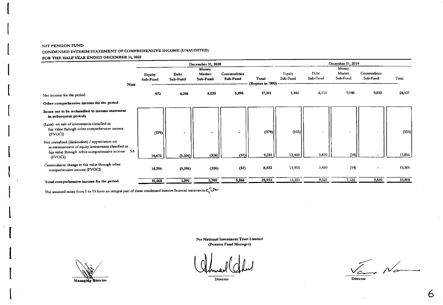#### NIT PENSION FUND CONDENSED INTERIM STATEMENT OF COMPREHENSIVE INCOME (UNAUDITED) FOR THE HALF YEAR ENDED DECEMBER 31, 2020

|                                                                                                                                                                 |                                          |        |                  | December 31, 2020           |                                |                             | December 31, 2019  |                  |                             |                         |        |  |
|-----------------------------------------------------------------------------------------------------------------------------------------------------------------|------------------------------------------|--------|------------------|-----------------------------|--------------------------------|-----------------------------|--------------------|------------------|-----------------------------|-------------------------|--------|--|
|                                                                                                                                                                 | <b>Equity</b><br>Sub-Fund<br><b>Note</b> |        | Debt<br>Sub-Fund | Money<br>Market<br>Sub-Fund | <b>Commodities</b><br>Sub-Fund | Total<br>(Rupees in '000) - | Equity<br>Sub-Fund | Debt<br>Sub-Fund | Money<br>Market<br>Sub-Fund | Commodities<br>Sub-Fund | Total  |  |
| Net income for the period                                                                                                                                       |                                          | 972    | 6,196            | 4,035                       | 5,898                          | 17,101                      | 1,446              | 6,111            | 7,140                       | 9,810                   | 24,507 |  |
| Other comprehensive income for the period                                                                                                                       |                                          |        |                  |                             |                                |                             |                    |                  |                             |                         |        |  |
| Items not to be reclassified to income statement<br>in subsequent periods                                                                                       |                                          |        |                  |                             |                                |                             |                    |                  |                             |                         |        |  |
| (Loss) on sale of investments classified as<br>fair value through other comprehensive income<br>(FVOCI)                                                         |                                          | (379)  | ۰                |                             |                                | (379)                       | (555)              |                  |                             |                         | (555)  |  |
| Net unrealised (diminution) / appreciation on<br>re-measurement of equity investments classified as<br>fair value through other comprehensive income<br>(FVOCI) | 5.6                                      | 14,675 | (5, 106)         | (326)                       | (32)                           | 9,211                       | 12,460             | 3,410            | (14)                        |                         | 15,856 |  |
| Cummulative change in fair value through other<br>comprehensive income (FVOCI)                                                                                  |                                          | 14,296 | (5,106)          | (326)                       | (32)                           | 8,832                       | 11,905             | 3,410            | (14)                        |                         | 15,301 |  |
| Total comprehensive income for the period                                                                                                                       |                                          | 15,268 | 1,090            | 3,709                       | 5,866                          | 25,933                      | 13,351             | 9,521            | 7,126                       | 9,810                   | 39,808 |  |

The annexed notes from 1 to 13 form an integral part of these condensed interim financial statements. $C_1$ 

Managing Qirector

For National Investment Trust Limited (Pension Fund Manager)

 $\frac{1}{2}$  Name

Director

6

Director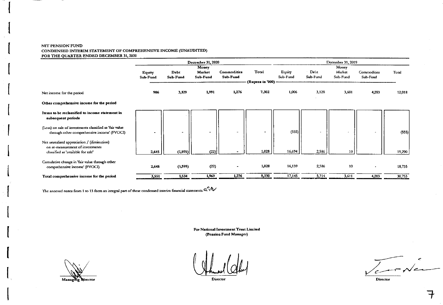#### NIT PENSION FUND CONDENSED INTERIM STATEMENT OF COMPREHENSIVE INCOME (UNAUDITED) FOR THE QUARTER ENDED DECEMBER 31, 2020

|                                                                                                                      |                           |                  | <b>December 31, 2020</b>    |                         |                             | December 31, 2019  |                       |                             |                         |        |  |
|----------------------------------------------------------------------------------------------------------------------|---------------------------|------------------|-----------------------------|-------------------------|-----------------------------|--------------------|-----------------------|-----------------------------|-------------------------|--------|--|
|                                                                                                                      | <b>Equity</b><br>Sub-Fund | Debt<br>Sub-Fund | Money<br>Market<br>Sub-Fund | Commodities<br>Sub-Fund | Total<br>(Rupees in '000) - | Equity<br>Sub-Fund | Debt<br>Sub-Fund      | Money<br>Market<br>Sub-Fund | Commodities<br>Sub-Fund | Total  |  |
| Net income for the period                                                                                            | 906                       | 3,129            | 1,991                       | 1,276                   | 7,302                       | 1,006              | 3,128                 | 3,601                       | 4,283                   | 12,018 |  |
| Other comprehensive income for the period                                                                            |                           |                  |                             |                         |                             |                    |                       |                             |                         |        |  |
| Items to be reclassified to income statement in<br>subsequent periods                                                |                           |                  |                             |                         |                             |                    |                       |                             |                         |        |  |
| (Loss) on sale of investments classified as 'fair value<br>through other comprehensive income' (FVOCI)               |                           | $\blacksquare$   | ۰                           |                         | $\bullet$                   | (555)              | $\sim$                | $\bullet$                   |                         | (555)  |  |
| Net unrealised appreciation / (diminution)<br>on re-measurement of investments<br>classified as 'available for sale' | 2,645                     | (1, 595)         | (22)                        |                         | 1,028                       | 16,694             | 2,586                 | 10                          |                         | 19,290 |  |
| Cumulative change in 'fair value through other<br>comprehensive income' (FVOCI)                                      | 2,645                     | (1, 595)         | (22)                        |                         | 1,028                       | 16,139             | 2,586                 | 10                          |                         | 18,735 |  |
| Total comprehensive income for the period                                                                            | 3,551                     | 1,534            | 1,969                       | 1,276                   | 8,330                       | 17,145             | $\frac{5,714}{5,714}$ | 3,611                       | 4,283                   | 30.753 |  |

The annexed notes from 1 to 13 form an integral part of these condensed interim financial statements.  $a$   $\mathcal{W}$ 

For National Investment Trust Limited (Pension Fund Manager)

Managing Director



 $\epsilon$ 'c

Director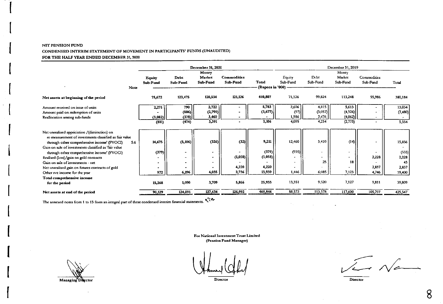#### NIT PENSION FUND CONDENSED INTERIM STATEMENT OF MOVEMENT IN PARTICIPANTS' FUNDS (UNAUDITED) FOR THE HALF YEAR ENDED DECEMBER 31, 2020

|                                                        |             |          |                | December 31, 2020 |             |                    | December 31, 2019 |          |          |             |         |  |
|--------------------------------------------------------|-------------|----------|----------------|-------------------|-------------|--------------------|-------------------|----------|----------|-------------|---------|--|
|                                                        |             |          |                | Money             |             |                    |                   |          | Money    |             |         |  |
|                                                        |             | Equity   | Debt           | Market            | Commodities |                    | Equity            | Debt     | Market   | Commodities |         |  |
|                                                        |             | Sub-Fund | Sub-Fund       | Sub-Fund          | Sub-Fund    | Total              | Sub-Fund          | Sub-Fund | Sub-Fund | Sub-Fund    | Total   |  |
|                                                        | <b>Note</b> |          |                |                   |             | (Rupees in '000) - |                   |          |          |             |         |  |
| Net assets at beginning of the period                  |             | 75,672   | 123,475        | 120,534           | 121,126     | 440,807            | 71,126            | 99,824   | 113,248  | 95,986      | 380,184 |  |
| Amount received on issue of units                      |             | 2,271    | 790            | 2,722             |             | 5,783              | 2,606             | 4.815    | 5,613    |             | 13,034  |  |
| Amount paid on redemption of units                     |             |          | (886)          | (2,791)           |             | (3,677)            | (97)              | (3,057)  | (4.326)  |             | (7,480) |  |
| Reallocation among sub-funds                           |             | (3,082)  | (378)          | 3,460             | $\bullet$   |                    | 1,586             | 2.476    | (4.062)  | ۰           |         |  |
|                                                        |             | (811)    | (474)          | 3,391             |             | 2,106              | 4,095             | 4.234    | (2, 775) |             | 5,554   |  |
| Net unrealised appriciation /(diminution) on           |             |          |                |                   |             |                    |                   |          |          |             |         |  |
| re-measurement of investments classified as fair value |             |          |                |                   |             |                    |                   |          |          |             |         |  |
| through other comprehensive income' (FVOCI)            | 5.6         | 14,675   | (5, 106)       | (326)             | (32)        | 9,211              | 12,460            | 3,410    | (14)     |             | 15,856  |  |
| Gain on sale of investments classified as 'fair value  |             |          |                |                   |             |                    |                   |          |          |             |         |  |
| through other comprehensive income' (FVOCI)            |             | (379)    |                |                   |             | (379)              | (555)             |          | ٠        |             | (555)   |  |
| Realised (loss)/gain on gold contracts                 |             |          | $\blacksquare$ |                   | (1,058)     | (1,058)            |                   |          | -        | 2,228       | 2,228   |  |
| Gain on sale of investments - net                      |             |          |                |                   |             |                    |                   | 25       | 18       |             | 43      |  |
| Net unrealised gain on futures contracts of gold       |             |          |                |                   | 4,220       | 4,220              |                   |          |          | 2,837       | 2,837   |  |
| Other net income for the year                          |             | 972      | 6,196          | 4,035             | 2,736       | 13,939             | 1,446             | 6,085    | 7,123    | 4,746       | 19,400  |  |
| Total comprehensive income                             |             |          |                |                   |             |                    |                   |          |          |             |         |  |
| for the period                                         |             | 15,268   | 1,090          | 3,709             | 5,866       | 25,933             | 13,351            | 9,520    | 7,127    | 9,811       | 39,809  |  |
| Net assets at end of the period                        |             | 90,129   | 124,091        | 127,634           | 126,992     | 468,846            | 88,572            | 113,578  | 117,600  | 105,797     | 425,547 |  |
|                                                        |             |          |                | .~^               |             |                    |                   |          |          |             |         |  |

The annexed notes from 1 to 13 form an integral part of these condensed interim financial statements.

For National Investment Trust Limited (Pension Fund Manager)

Managing Diector

Director

Ven Na

Director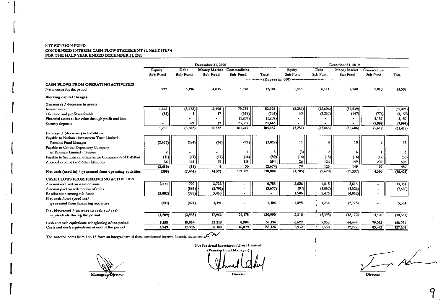#### NIT PENSION FUND CONDENSED INTERIM CASH FLOW STATEMENT (UNAUDITED) FOR THE HALF YEAR ENDED DECEMBER 31, 2020

|                                                                   |               |          | December 31, 2020        |          | December 31, 2019 |          |                |              |             |           |
|-------------------------------------------------------------------|---------------|----------|--------------------------|----------|-------------------|----------|----------------|--------------|-------------|-----------|
|                                                                   | <b>Equity</b> | Debt     | Money Market Commodities |          |                   | Equity   | Debt           | Money Market | Commodities |           |
|                                                                   | Sub-Fund      | Sub-Fund | Sub-Fund                 | Sub-Fund | Total             | Sub-Fund | Sub-Fund       | Sub-Fund     | Sub-Fund    | Total     |
|                                                                   |               |          |                          |          | (Rupees in '000). |          |                |              |             |           |
| CASH FLOWS FROM OPERATING ACTIVITIES<br>Net income for the period | 972           | 6,196    | 4.035                    | 5,898    | 17,101            | 1,446    | 6,111          | 7,140        | 9,810       | 24,507    |
| Working capital changes                                           |               |          |                          |          |                   |          |                |              |             |           |
| (Increase) / decrease in assets                                   |               |          |                          |          |                   |          |                |              |             |           |
| Investments                                                       | 1,365         | (8,672)  | 10,498                   | 79,735   | 82,926            | (3,281)  | (12,606)       | (36, 539)    |             | (52, 426) |
| Dividend and profit receivable                                    | (85)          |          | 17                       | (638)    | (705)             | 30       | (3,257)        | (147)        | (776)       | (4,150)   |
| Financial assets at fair value through profit and loss            |               |          |                          | (1,207)  | (1, 207)          |          |                |              | 3,157       | 3,157     |
| Security deposits                                                 |               | 69       | 17                       | 23,357   | 23,443            |          |                |              | (7,998)     | (7,998)   |
|                                                                   | 1,280         | (8,602)  | 10,532                   | 101,247  | 104,457           | (3,251)  | (15, 863)      | (36, 686)    | (5,617)     | (61, 417) |
| Increase / (decrease) in liabilities                              |               |          |                          |          |                   |          |                |              |             |           |
| Payable to National Investment Trust Limited -                    |               |          |                          |          |                   |          |                |              |             |           |
| Pension Fund Manager                                              | (2,677)       | (184)    | (76)                     | (75)     | (3,012)           | 11       | 8              | 10           |             | 35        |
| Payable to Central Depository Company                             |               |          |                          |          |                   |          |                |              |             |           |
| of Pakistan Limited - Trustee                                     | 2             |          |                          |          | 3                 | (3)      | $\overline{2}$ | 6            |             | 6         |
| Payable to Securities and Exchange Commission of Pakistan         | (11)          | (17)     | (17)                     | (14)     | (59)              | (14)     | (13)           | (16)         | (12)        | (55)      |
| Accrued expenses and other liabilities                            | 36            | 143      | 97                       | 118      | 394               | 26       | 126            | 149          | 202         | 503       |
|                                                                   | (2,650)       | (58)     |                          | 30       | (2,674)           | 20       | 123            | 149          | 197         | 489       |
| Net cash (used in) / generated from operating activities          | (398)         | (2, 464) | 14,571                   | 107,175  | 118,884           | (1,785)  | (9,629)        | (29,397)     | 4,390       | (36, 421) |
| CASH FLOWS FROM FINANCING ACTIVITIES                              |               |          |                          |          |                   |          |                |              |             |           |
| Amount received on issue of units                                 | 2,271         | 790      | 2,722                    |          | 5,783             | 2,606    | 4,815          | 5,613        |             | 13,034    |
| Amount paid on redemption of units                                |               | (886)    | (2,791)                  |          | (3,677)           | (97)     | (3,057)        | (4,326)      |             | (7,480)   |
| Re allocation among sub funds                                     | (3,082)       | (378)    | 3,460                    |          |                   | 1,586    | 2,476          | (4,062)      |             |           |
| Net cash flows (used in)/                                         |               |          |                          |          |                   |          |                |              |             |           |
| generated from financing activities                               | (811)         | (474)    | 3,391                    |          | 2,106             | 4,095    | 4,234          | (2, 775)     |             | 5,554     |
| Net (decrease) / increase in cash and cash                        |               |          |                          |          |                   |          |                |              |             |           |
| equivalents during the period                                     | (1, 209)      | (2,938)  | 17,962                   | 107,175  | 120,990           | 2,310    | (5,325)        | (32, 172)    | 4,390       | (30, 867) |
| Cash and cash equivalents at beginning of the period              | 5,158         | 15,854   | 32,218                   | 8,904    | 62,134            | 6,622    | 7,953          | 64,444       | 79,052      | 158,071   |
| Cash and cash equivalents at end of the period                    | 3,949         | 12.916   | 50.180                   | 116,079  | 183,124           | 8,932    | 2,558          | 32,272       | 83,442      | 127,204   |

The annexed notes from 1 to 13 form an integral part of these condensed interim financial statements. $C$ 

Managing Director

For National Investment Trust Limited (Pension Fund Manager) Director

 $\mathcal{A}$ 

Director

O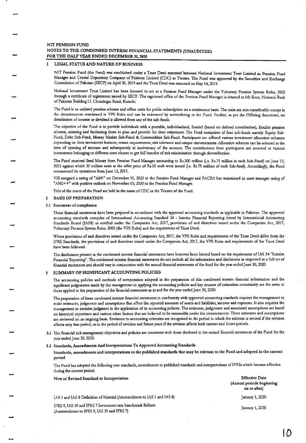#### **LEGAL STATUS AND NATURE OF BUSINESS**

NIT Pension Fund (the Fund) was established under a Trust Deed executed between National Investment Trust Limited as Pension Fund Manager and Central Depository Company of Pakistan Limited (CDC) as Trustee. The Fund was approved by the Securities and Exchange Commission of Pakistan (SECP) on April 30, 2015 and the Trust Deed was executed on May 14, 2015.

National Investment Trust Limited has been licensed to act as a Pension Fund Manager under the Voluntary Pension System Rules, 2005 through a certificate of registration issued by SECP. The registered office of the Pension Fund Manager is situated at 6th floor, National Bank of Pakistan Building I.I. Chundrigar Road, Karachi.

The Fund is an unlisted pension scheme and offers units for public subscription on a continuous basis. The units are non-transferable except in the circumstances mentioned in VPS Rules and can be redeemed by surrendering to the Fund. Further, as per the Offering document, no distribution of income or dividend is allowed from any of the sub-funds.

The objective of the Fund is to provide individuals with a portable, individualised, funded (based on defined contribution), flexible pension scheme, assisting and facilitating them to plan and provide for their retirement. The Fund comprises of four sub-funds namely Equity Sub-Fund, Debt Sub-Fund, Money Market Sub-Fund & Commodities Sub-Fund. Participants are offered various investment allocation schemes depending on their investment horizon, return requirements, risk tolerance and unique circumstances. Allocation schemes can be selected at the time of opening of account and subsequently at anniversary of the account. The contributions from participants are invested in various instruments belonging to different asset classes to get full benefits of risk minimisation through diversification.

The Fund received Seed Money from Pension Fund Manager amounting to Rs.300 million (i.e. Rs.75 million in each Sub-Fund) on June 12, 2015 against which 30 million units at the offer price of Rs.10 each were issued (i.e. Rs.75 million of each Sub-fund). Accordingly, the Fund commenced its operations from June 12, 2015.

VIS assigned a rating of "AM1" on December 31, 2020 to the Pension Fund Manager and PACRA has maintained an asset manager rating of "AM2++" with positive outlook on November 05, 2020 to the Pension Fund Manager.

Title of the assets of the Fund are held in the name of CDC as the Trustee of the Fund.

#### 2 BASIS OF PREPARATION

#### 2.1 Statement of compliance

These financial statements have been prepared in accordance with the approved accounting standards as applicable in Pakistan. The approved accounting standards comprise of International Accounting Standard 34 - Interim Financial Reporting issued by International Accounting Standards Board (IASB) as notified under the Companies Act, 2017, provisions of and directives issued under the Companies Act, 2017, Voluntary Pension System Rules, 2005 (the VPS Rules) and the requirement of Trust Deed.

Where provisions of and directives issued under the Companies Act, 2017, the VPS Rules and requirements of the Trust Deed differ from the IFRS Standards, the provisions of and directives issued under the Companies Act, 2017, the VPS Rules and requirements of the Trust Deed have been followed.

The disclosures present in the condensed interim financial statements have however been limited based on the requierment of IAS 34 "Interim Financial Reporting". The condensed interim financial statements do not include all the information and disclosures as requiered in a full set of financial statements and should vary in conjunction with the annual financial statements of the fund for the year ended June 30, 2020.

#### 3 SUMMARY OF SIGNIFICANT ACCOUNTING POLICIES

The accounting policies and methods of computation adopted in the preparation of this condensed interim financial information and the significant judgements made by the management in applying the accounting policies and key sources of estimation uncertainity are the same as those applied in the preparation of the financial statements as at and for the year ended June 30, 2020.

The preparation of these condensed interim financial statements in conformity with approved accounting standards requires the management to make estimates, judgments and assumptions that affect the reported amounts of assets and liabilities, income and expenses. It also requires the management to exercise judgment in the application of its accounting policies. The estimates, judgments and associated assumptions are based on historical experience and various other factors that are believed to be reasonable under the circumstances. These estimates and assumptions are reviewed on an ongoing basis. Revisions to accounting estimates are recognised in the period in which the estimate is revised if the revision affects only that period, or in the period of revision and future years if the revision affects both current and future periods.

3.1 The financial risk management objectives and policies are consistent with those disclosed in the annual financial statements of the Fund for the year ended June 30, 2020.

#### 3.2 Standards, Amendments And Interpretations To Approved Accounting Standards

Standards, amendments and interpretations to the published standards that may be relevant to the Fund and adopted in the current period

The Fund has adopted the following new standards, amendments to published standards and interpretations of IFRSs which became effective during the current period.

| New or Revised Standard or Interpretation                              | <b>Effective Date</b>                     |
|------------------------------------------------------------------------|-------------------------------------------|
|                                                                        | (Annual periods beginning<br>on or after) |
| IAS 1 and IAS 8 Definition of Material (Ammendment to IAS 1 and IAS 8) | January 1, 2020                           |
| IERS 0. LAS 30 and IERS 7 Investment rate benchmark Reform             |                                           |

(Ammendment to IFRS 9, IAS 39 and IFRS 7)

January 1, 2020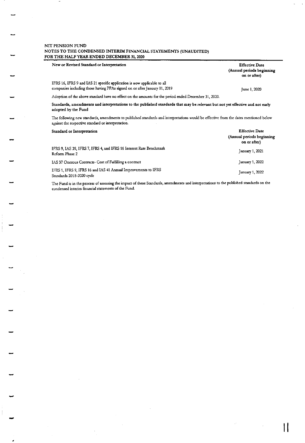| New or Revised Standard or Interpretation                                                                                                                                                  | <b>Effective Date</b><br>(Annual periods beginning<br>on or after) |
|--------------------------------------------------------------------------------------------------------------------------------------------------------------------------------------------|--------------------------------------------------------------------|
| IFRS 16, IFRS 9 and IAS 21 specific application is now applicable to all<br>companies including those having PPAs signed on or after January 01, 2019                                      | June 1, 2020                                                       |
| Adoption of the above standard have no effect on the amounts for the period ended December 31, 2020.                                                                                       |                                                                    |
| Standards, amendments and interpretations to the published standards that may be relevant but not yet effective and not early<br>adopted by the Fund                                       |                                                                    |
| The following new standards, amendments to published standards and interpretations would be effective from the dates mentioned below<br>against the respective standard or interpretation. |                                                                    |
| Standard or Interpretation                                                                                                                                                                 | <b>Effective Date</b><br>(Annual periods beginning<br>on or after) |
| IFRS 9, IAS 39, IFRS 7, IFRS 4, and IFRS 16 Interest Rate Benchmark<br>Reform Phase 2                                                                                                      | January 1, 2021                                                    |
| IAS 37 Onerous Contracts- Cost of Fulfilling a contract                                                                                                                                    | January 1, 2022                                                    |
| IFRS 1, IFRS 9, IFRS 16 and IAS 41 Annual Improvements to IFRS<br>Standards 2018-2020 cycle                                                                                                | January 1, 2022                                                    |

The Fund is in the process of assessing the impact of these Standards, amendments and interpretations to the published standards on the condensed interim financial statements of the Fund.

 $\prod$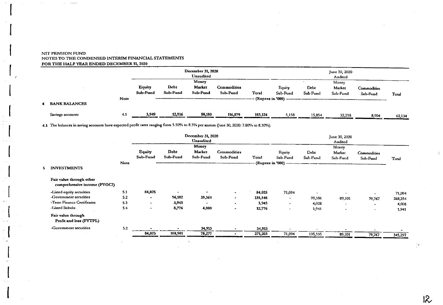$\overline{\mathbf{5}}$ 

|                      |             |                           |                  | December 31, 2020<br><b>Unaudited</b> |                         |                  | June 30, 2020<br>Audited |                  |                             |                         |                                               |  |  |
|----------------------|-------------|---------------------------|------------------|---------------------------------------|-------------------------|------------------|--------------------------|------------------|-----------------------------|-------------------------|-----------------------------------------------|--|--|
|                      |             | <b>Equity</b><br>Sub-Fund | Debt<br>Sub-Fund | Money<br><b>Market</b><br>Sub-Fund    | Commodities<br>Sub-Fund | Total            | Equity<br>Sub-Fund       | Debt<br>Sub-Fund | Money<br>Market<br>Sub-Fund | Commodities<br>Sub-Fund | Total                                         |  |  |
| <b>BANK BALANCES</b> | <b>Note</b> |                           |                  |                                       |                         | (Rupees in '000) |                          |                  |                             |                         |                                               |  |  |
| Savings accounts     | 4.1         | 3,949<br>____             | 12,916           | 50,180                                | 116,079                 | 183,124          | 5,158                    | 15,854           | 32,218<br>___________       | 8,904                   | 62,134<br><u> Angels av Stadt Maria (* 18</u> |  |  |

4.1 The balances in saving accounts have expected profit rates ranging from 5.50% to 8.3% per annum (June 30, 2020: 7.80% to 8.30%).

|                                                          |      |                          |                  | December 31, 2020<br>Unaudited |                                | June 30, 2020<br>Audited |                                              |                  |                             |                          |         |  |  |
|----------------------------------------------------------|------|--------------------------|------------------|--------------------------------|--------------------------------|--------------------------|----------------------------------------------|------------------|-----------------------------|--------------------------|---------|--|--|
|                                                          | Note | Equity<br>Sub-Fund       | Debt<br>Sub-Fund | Money<br>Market<br>Sub-Fund    | <b>Commodities</b><br>Sub-Fund | Total                    | Equity<br>Sub-Fund<br>- (Rupees in '000) --- | Debt<br>Sub-Fund | Money<br>Market<br>Sub-Fund | Commodities<br>Sub-Fund  | Total   |  |  |
| <b>INVESTMENTS</b>                                       |      |                          |                  |                                |                                |                          |                                              |                  |                             |                          |         |  |  |
| Fair value through other<br>comprehensive income (FVOCI) |      |                          |                  |                                |                                |                          |                                              |                  |                             |                          |         |  |  |
| -Listed equity securities                                | 5.1  | 84,025                   |                  |                                | $\bullet$                      | 84,025                   | 71,094                                       |                  |                             |                          | 71,094  |  |  |
| -Government securities                                   | 5.2  | $\bullet$                | 96,182           | 39,364                         | $\sim$                         | 135,546                  | $\blacksquare$                               | 99,386           | 89,101                      | 79,767                   | 268,254 |  |  |
| -Term Finance Certificates                               | 5.3  | $\overline{\phantom{a}}$ | 3,943            |                                | $\sim$                         | 3,943                    | $\overline{\phantom{a}}$                     | 4,008            | $\tilde{\phantom{a}}$       |                          | 4,008   |  |  |
| -Listed Sukuks                                           | 5.4  | $\blacksquare$           | 8,776            | 4,000                          | $\overline{\phantom{0}}$       | 12,776                   | $\overline{\phantom{a}}$                     | 1,941            | $\overline{\phantom{a}}$    | $\overline{\phantom{0}}$ | 1,941   |  |  |
| Fair value through<br>Profit and loss (FVTPL)            |      |                          |                  |                                |                                |                          |                                              |                  |                             |                          |         |  |  |
| -Government securities                                   | 5.2  |                          |                  | 34,913                         |                                | 34,913                   |                                              |                  |                             |                          |         |  |  |
|                                                          |      | 84,025                   | 108,901          | 78,277                         |                                | 271,203                  | 71,094                                       | 105,335          | 89,101                      | 79,767                   | 345,297 |  |  |
|                                                          |      |                          |                  |                                |                                |                          |                                              |                  |                             |                          |         |  |  |

 $\overline{\mathcal{R}}$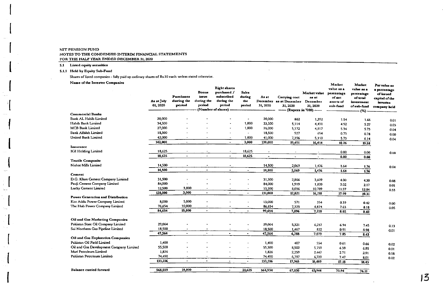5.1 Listed equity securities

5.1.1 Held by Equity Sub-Fund

Shares of listed companies - fully paid up ordinary shares of Rs.10 each unless stated otherwise.

Name of the Investee Companies

| Name of the Investee Companies          | As at July<br>01, 2020 | Purchases<br>during the<br>period | Bonus<br>issue<br>during the<br>period | <b>Right shares</b><br>purchased /<br>subscribed<br>during the<br>period<br>(Number of shares) - | <b>Sales</b><br>during<br>the<br>period | As at<br>31, 2020     | Carrying cost<br>December as at December<br>31, 2020 | Market value<br>as at<br>December<br>31, 2020<br>-- (Rupees in '000) ----- | Market<br>value as a<br>percentage<br>of net<br>assets of<br>sub-fund | Market<br>value as a<br>percentage<br>of total<br>investment<br>of sub-fund | Par value as<br>a percentage<br>of issued<br>capital of the<br><i>investee</i><br>company held |
|-----------------------------------------|------------------------|-----------------------------------|----------------------------------------|--------------------------------------------------------------------------------------------------|-----------------------------------------|-----------------------|------------------------------------------------------|----------------------------------------------------------------------------|-----------------------------------------------------------------------|-----------------------------------------------------------------------------|------------------------------------------------------------------------------------------------|
| <b>Commercial Banks</b>                 |                        |                                   |                                        |                                                                                                  |                                         |                       |                                                      |                                                                            |                                                                       | $(\%)$                                                                      |                                                                                                |
| Bank AL Habib Limited                   | 20,000                 |                                   |                                        |                                                                                                  | $\overline{\phantom{a}}$                | 20,000                | 882                                                  | 1,392                                                                      | 1.54                                                                  | 1.66                                                                        | 0.01                                                                                           |
| Habib Bank Limited                      | 34,500                 |                                   |                                        |                                                                                                  | 1,000                                   | 33,500                | 5,114                                                | 4,431                                                                      | 4.92                                                                  | 5.27                                                                        | 0.03                                                                                           |
| MCB Bank Limited                        | 27,000                 |                                   |                                        | $\blacksquare$                                                                                   | 1,000                                   | 26,000                | 5,172                                                | 4,817                                                                      | 5.34                                                                  | 5.73                                                                        | 0.04                                                                                           |
| <b>Bank Alfalah Limited</b>             | 18,500                 |                                   |                                        | $\overline{\phantom{a}}$                                                                         | $\blacksquare$                          | 18,500                | 927                                                  | 654                                                                        | 0.73                                                                  | 0.78                                                                        | 0.00                                                                                           |
| United Bank Limited                     | 42,000                 |                                   |                                        | $\overline{\phantom{a}}$                                                                         | 1,000                                   | 41,000                | 7,396                                                | 5,150                                                                      | 5.73                                                                  | 6.14                                                                        | 0.04                                                                                           |
|                                         | 142,000                | $\overline{\phantom{a}}$          | $\blacksquare$                         | $\blacksquare$                                                                                   | 3,000                                   | 139,000               | 19,491                                               | 16,4.4                                                                     | 18.26                                                                 | 19.58                                                                       |                                                                                                |
| Insurance                               |                        |                                   |                                        |                                                                                                  |                                         |                       |                                                      |                                                                            |                                                                       |                                                                             |                                                                                                |
| <b>1GI Holding Limited</b>              | 18,625                 |                                   |                                        | $\overline{\phantom{a}}$                                                                         | 18,625                                  |                       |                                                      |                                                                            | 0.00                                                                  | 0.00                                                                        | 0.00                                                                                           |
|                                         | 18,625                 | $\blacksquare$                    |                                        | $\blacksquare$                                                                                   | 18,625                                  | $\tilde{\phantom{a}}$ | $\bullet$                                            |                                                                            | 0.00                                                                  | 0.00                                                                        |                                                                                                |
| <b>Textile Composite</b>                |                        |                                   |                                        |                                                                                                  |                                         |                       |                                                      |                                                                            |                                                                       |                                                                             |                                                                                                |
| Nishat Mills Limited                    | 14,500                 | $\overline{\phantom{a}}$          | $\hat{\phantom{a}}$                    | $\overline{\phantom{a}}$                                                                         |                                         | 14,500                | 2,069                                                | 1,476                                                                      | 1.64                                                                  | 1.76                                                                        | 0.04                                                                                           |
|                                         | 14,500                 | $\bullet$                         | $\bullet$                              | $\bullet$                                                                                        | $\blacksquare$                          | 14,500                | 2,069                                                | 1,476                                                                      | 1.64                                                                  | 1.76                                                                        |                                                                                                |
| <b>Cement</b>                           |                        |                                   |                                        |                                                                                                  |                                         |                       |                                                      |                                                                            |                                                                       |                                                                             |                                                                                                |
| D.G. Khan Cement Company Limited        | 31,500                 |                                   |                                        |                                                                                                  |                                         | 31,500                | 2,866                                                | 5,609                                                                      | 4.00                                                                  | 4.30                                                                        | 0.08                                                                                           |
| Fauji Cement Company Limited            | 84,000                 | $\sim$                            |                                        |                                                                                                  |                                         | 84,000                | 1,919                                                | 1,820                                                                      | 2.02                                                                  | 2.17                                                                        | 001                                                                                            |
| Lucky Cement Limited                    | 12,500                 | 3,000                             | $\overline{\phantom{a}}$               |                                                                                                  | $\blacksquare$                          | 15,500                | 8,036                                                | 10,789                                                                     | 11.97                                                                 | 12.84                                                                       | 0.33                                                                                           |
|                                         | 128,000                | 3,000                             | $\blacksquare$                         | $\blacksquare$                                                                                   | $\blacksquare$                          | 131,000               | 12,821                                               | 16,218                                                                     | 17.99                                                                 | 19.31                                                                       |                                                                                                |
| Power Generation and Distribution       |                        |                                   |                                        |                                                                                                  |                                         |                       |                                                      |                                                                            |                                                                       |                                                                             |                                                                                                |
| Kot Addu Power Company Limited          | 8,000                  | 5,000                             |                                        |                                                                                                  |                                         | 13,000                | 571                                                  | 354                                                                        | 0.39                                                                  | 0.42                                                                        | 0.00                                                                                           |
| The Hub Power Company Limited           | 76.654                 | 10,000                            | $\overline{\phantom{a}}$               | $\overline{\phantom{a}}$                                                                         | $\blacksquare$                          | 86,654                | 7.325                                                | 6,874                                                                      | 7.63                                                                  | 8.18                                                                        | 0.05                                                                                           |
|                                         | 84.654                 | 15,000                            | $\tilde{\phantom{a}}$                  |                                                                                                  | $\blacksquare$                          | 99,654                | 7.896                                                | 7,228                                                                      | 8.02                                                                  | 8.60                                                                        |                                                                                                |
| Oil and Gas Marketing Companies         |                        |                                   |                                        |                                                                                                  |                                         |                       |                                                      |                                                                            |                                                                       |                                                                             |                                                                                                |
| Pakistan State Oil Company Limited      | 29,064                 |                                   |                                        |                                                                                                  |                                         | 29,064                | 5,321                                                | 6,257                                                                      | 6.94                                                                  | 7.45                                                                        | 0.13                                                                                           |
| Sui Northern Gas Pipeline Limited       | 18,500                 | $\bullet$                         |                                        | $\overline{a}$                                                                                   | $\blacksquare$                          | 18,500                | 1,467                                                | 822                                                                        | 0.91                                                                  | 0.98                                                                        | 0.01                                                                                           |
|                                         | 47,564                 | $\blacksquare$                    |                                        | $\bullet$                                                                                        | $\blacksquare$                          | 47,564                | 6,788                                                | 7,079                                                                      | 7.85                                                                  | 8.43                                                                        |                                                                                                |
| Oil and Gas Exploration Companies       |                        |                                   |                                        |                                                                                                  |                                         |                       |                                                      |                                                                            |                                                                       |                                                                             |                                                                                                |
| Pakistan Oil Field Limited              | 1,400                  |                                   |                                        |                                                                                                  |                                         | 1,400                 | 407                                                  | 554                                                                        | 0.61                                                                  | 0.66                                                                        | 0.02                                                                                           |
| Oil and Gas Development Company Limited | 55,500                 |                                   |                                        |                                                                                                  |                                         | 55,500                | 8,502                                                | 5.759                                                                      | 6.39                                                                  | 6.85                                                                        | 0.01                                                                                           |
| Mari Petroleum Limited                  | 1,826                  |                                   |                                        |                                                                                                  | $\overline{\phantom{a}}$                | 1,826                 | 2,259                                                | 2.447                                                                      | 2.71                                                                  | 2.91                                                                        | 0.18                                                                                           |
| Pakistan Petroleum Limited              | 74,490                 |                                   |                                        |                                                                                                  | $\tilde{\phantom{a}}$                   | 74,490                | 6,797                                                | 6,729                                                                      | 7.47                                                                  | 8.01                                                                        | 0.02                                                                                           |
|                                         | 133,216                | $\tilde{\phantom{a}}$             | $\overline{\phantom{0}}$               | $\overline{\phantom{a}}$                                                                         | $\blacksquare$                          | 133,216               | 17,965                                               | 15,489                                                                     | 17.18                                                                 | 18.43                                                                       |                                                                                                |
| Balance carried forward                 | 568,559                | 18,000                            | $\hat{\phantom{a}}$                    | $\blacksquare$                                                                                   | 21,625                                  | 564,934               | 67,030                                               | 63,944                                                                     | 70.94                                                                 | $76.11 -$                                                                   |                                                                                                |
|                                         |                        |                                   |                                        |                                                                                                  |                                         |                       |                                                      |                                                                            |                                                                       |                                                                             |                                                                                                |

3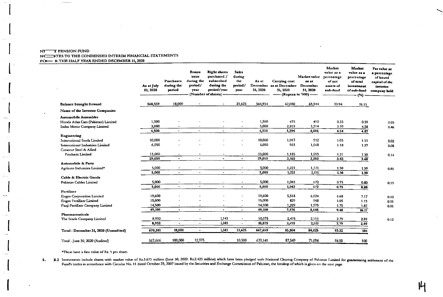|                                                                  | As at July<br>01, 2020 | <b>Purchases</b><br>during the<br>period | Bonus<br>issue<br>during the<br>period/<br>vear | <b>Right shares</b><br>purchased /<br>subscribed<br>during the<br>period/year<br>(Number of shares) - | <b>Salcs</b><br>during<br>the<br>period/<br><b>YEST</b> | As at<br>31, 2020 | Carrying cost<br>December as at December<br>31, 2020<br>------ (Rupees in '000) ----- | Market value<br>28 2t<br>December<br>31, 2020 | Market<br>value as a<br>percentage<br>of net<br>assets of<br>sub-fund | Market<br>value as a<br>percentage<br>of total<br>investment<br>of sub-fund<br>$(*)$ | Par value as<br>a percentage<br>of issued<br>capital of the<br>investee<br>company held |
|------------------------------------------------------------------|------------------------|------------------------------------------|-------------------------------------------------|-------------------------------------------------------------------------------------------------------|---------------------------------------------------------|-------------------|---------------------------------------------------------------------------------------|-----------------------------------------------|-----------------------------------------------------------------------|--------------------------------------------------------------------------------------|-----------------------------------------------------------------------------------------|
| <b>Balance brought forward</b>                                   | 568,559                | 18,000                                   |                                                 | $\overline{\phantom{a}}$                                                                              | 21,625                                                  | 564,934           | 67,030                                                                                | 63,944                                        | 70.94                                                                 | 76.11                                                                                |                                                                                         |
| Name of the Investee Companies                                   |                        |                                          |                                                 |                                                                                                       |                                                         |                   |                                                                                       |                                               |                                                                       |                                                                                      |                                                                                         |
| Automobile Assembler                                             |                        |                                          |                                                 |                                                                                                       |                                                         |                   |                                                                                       |                                               |                                                                       |                                                                                      |                                                                                         |
| Honda Atlas Cars (Pakistan) Limited                              | 1,500                  | $\blacksquare$                           |                                                 |                                                                                                       |                                                         | 1,500             | 475                                                                                   | 492                                           | 0.55                                                                  | 0.59                                                                                 | 0.03                                                                                    |
| Indus Motor Company Limited                                      | 3 000                  | $\blacksquare$                           |                                                 |                                                                                                       | $\bullet$                                               | 3,000             | 2,819                                                                                 | 3,594                                         | 3.99                                                                  | 4 28                                                                                 | 0.46                                                                                    |
|                                                                  | 4,500                  | $\bullet$                                | $\tilde{\phantom{a}}$                           |                                                                                                       | $\mathbf{w}_i$                                          | 4,500             | 3,294                                                                                 | 4,086                                         | 4.54                                                                  | 4.87                                                                                 |                                                                                         |
| <b>Engineering</b>                                               | 10,000                 |                                          |                                                 |                                                                                                       |                                                         | 10,000            |                                                                                       |                                               |                                                                       |                                                                                      |                                                                                         |
| International Steels Limited<br>International Industries Limited | 6,050                  |                                          |                                                 |                                                                                                       |                                                         | 6,050             | 1.017<br>963                                                                          | 9.2<br>1,0.58                                 | 1.03                                                                  | 1.11                                                                                 | 0.02                                                                                    |
| <b>Crescent Steel &amp; Allied</b>                               |                        |                                          |                                                 |                                                                                                       |                                                         |                   |                                                                                       |                                               | 1.18                                                                  | 1.27                                                                                 | 0.08                                                                                    |
| Products Limited                                                 | 13,000                 |                                          |                                                 |                                                                                                       |                                                         | 13,000            | 1,185                                                                                 | 1,093                                         | 1.21                                                                  | 1.30                                                                                 |                                                                                         |
|                                                                  | 29,050                 | $\blacksquare$                           |                                                 |                                                                                                       |                                                         | 29,050            | 3,165                                                                                 | 3,093                                         | 3.42                                                                  | 3.68                                                                                 | 0.14                                                                                    |
| Automobile & Parts                                               |                        |                                          |                                                 |                                                                                                       |                                                         |                   |                                                                                       |                                               |                                                                       |                                                                                      |                                                                                         |
| Agriauto Industries Limited*                                     | 5,000                  |                                          | $\overline{\phantom{a}}$                        |                                                                                                       |                                                         | 5,000             | 1,221                                                                                 | 1,171                                         | 1.30                                                                  | 1.39                                                                                 | 0.81                                                                                    |
|                                                                  | 5,000                  | $\overline{\phantom{a}}$                 | $\hat{\phantom{a}}$                             | $\blacksquare$                                                                                        | $\sim$                                                  | 5,000             | 1,221                                                                                 | 1,171                                         | 1.30                                                                  | 1.39                                                                                 |                                                                                         |
| Cable & Electric Goods                                           |                        |                                          |                                                 |                                                                                                       |                                                         |                   |                                                                                       |                                               |                                                                       |                                                                                      |                                                                                         |
| Pakistan Cables Limited                                          | 5,000                  |                                          | $\bullet$                                       |                                                                                                       |                                                         | 5,000             | 1,043                                                                                 | 672                                           | 0.75                                                                  | 0.80                                                                                 | 0.19                                                                                    |
|                                                                  | 5,000                  | $\blacksquare$                           | $\overline{\phantom{a}}$                        | $\blacksquare$                                                                                        | $\bullet$                                               | 5,000             | 1,043                                                                                 | 672                                           | 0.75                                                                  | 0.80                                                                                 |                                                                                         |
| Fertilizer                                                       |                        |                                          |                                                 |                                                                                                       |                                                         |                   |                                                                                       |                                               |                                                                       |                                                                                      |                                                                                         |
| Engro Corporation Limited                                        | 19,600                 |                                          |                                                 |                                                                                                       |                                                         | 19,600            | 5,518                                                                                 | 6,024                                         | 6.68                                                                  | 7.17                                                                                 | 0.10                                                                                    |
| <b>Engro Fertilizer Limited</b>                                  | 15,000                 |                                          |                                                 |                                                                                                       |                                                         | 15,000            | 829                                                                                   | 918                                           | 1.05                                                                  | 1.13                                                                                 | 0.01                                                                                    |
| Fauji Fertilizer Company Limited                                 | 14,500                 |                                          | $\overline{a}$                                  |                                                                                                       |                                                         | 14,500            | 1,229                                                                                 | 1,573                                         | 1.75                                                                  | 1.87                                                                                 | 0.01                                                                                    |
|                                                                  | 49,100                 | $\sim$                                   |                                                 | $\ddot{\phantom{1}}$                                                                                  |                                                         | 49,100            | 7,576                                                                                 | 8,545                                         | 9.48                                                                  | 10.17                                                                                |                                                                                         |
| Pharmaceuticals                                                  | 8,932                  |                                          | ۰                                               | 1,143                                                                                                 |                                                         | 10,075            | 2,475                                                                                 | 2,511                                         | 2.79                                                                  |                                                                                      |                                                                                         |
| The Searle Company Limited                                       | 8,932                  | $\blacksquare$                           | $\bullet$                                       | 1,143                                                                                                 | $\blacksquare$                                          | 10,075            | 2,475                                                                                 | 2,511                                         | 2.79                                                                  | 2.99<br>2.99                                                                         | 0.12                                                                                    |
|                                                                  |                        |                                          |                                                 |                                                                                                       |                                                         |                   |                                                                                       |                                               |                                                                       |                                                                                      |                                                                                         |
| Total - December 31, 2020 (Unaudited)                            | 670,141                | 18,000                                   | $\blacksquare$                                  | 1,143                                                                                                 | 21,625                                                  | 667,659           | 85,804                                                                                | 84,025                                        | 93.22                                                                 | 100                                                                                  |                                                                                         |
| Total - June 30, 2020 (Audited)                                  | 567,666                | 100,000                                  | 12,975                                          |                                                                                                       | 10.500                                                  | 670,141           | 87,549                                                                                | 71,094                                        | 94.00                                                                 | 100                                                                                  |                                                                                         |

\*These have a face value of Rs. 5 per share.

5. 1.2 Investments include shares with market value of Rs.3.673 million (June 30, 2020: Rs.2.420 million) which have been pledged with National Clearing Company of Pakistan Limited for guaranteeing settlement of the Fund's trades in accordance with Circular No. 11 dated October 23, 2007 issued by the Securities and Exchange Commission of Pakistan, the breakup of which is given on the next page.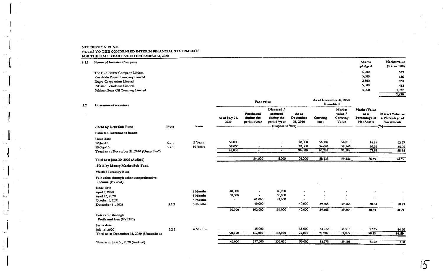| 5.1.3 | ---------<br>Name of Investee Company |            |                         | <b>Shares</b><br>pledged | Market value<br>(Rs. in '000) |
|-------|---------------------------------------|------------|-------------------------|--------------------------|-------------------------------|
|       | The Hub Power Company Limited         |            |                         | 5,000                    | 397                           |
|       | Kot Addu Power Company Limited        |            |                         | 5,000                    | 136                           |
|       | <b>Engro Corporation Limited</b>      |            |                         | 2,500                    | 768                           |
|       | Pakistan Petroleum Limited            |            |                         | 5,000                    | 452                           |
|       | Pakistan State Oil Company Limited    |            |                         | 5,000                    | 1,077                         |
|       |                                       |            |                         |                          | 2,830                         |
|       |                                       | Face value | As at December 31, 2020 |                          |                               |

|                                                          | Note                                                                                                                                                                                                                                                                                                               | <b>Tenor</b>   | As at July 01,<br>2020 | Purchased<br>during the<br>period/year | Disposed /<br>matured<br>during the<br>period/year | As at<br>December<br>31, 2020 | Carrying<br>cost                                 | Market<br>value /<br>Carrying<br>Value             | <b>Market Value</b><br>88.8<br>Percentage of<br>Net Assets | Market Value as<br>a Percentage of<br>Investments<br>$-(\%)$ |
|----------------------------------------------------------|--------------------------------------------------------------------------------------------------------------------------------------------------------------------------------------------------------------------------------------------------------------------------------------------------------------------|----------------|------------------------|----------------------------------------|----------------------------------------------------|-------------------------------|--------------------------------------------------|----------------------------------------------------|------------------------------------------------------------|--------------------------------------------------------------|
|                                                          |                                                                                                                                                                                                                                                                                                                    |                |                        |                                        |                                                    |                               |                                                  |                                                    |                                                            |                                                              |
|                                                          |                                                                                                                                                                                                                                                                                                                    |                |                        |                                        |                                                    |                               |                                                  |                                                    |                                                            |                                                              |
|                                                          |                                                                                                                                                                                                                                                                                                                    |                |                        |                                        |                                                    |                               |                                                  |                                                    |                                                            | 53.27                                                        |
|                                                          |                                                                                                                                                                                                                                                                                                                    |                |                        |                                        |                                                    |                               |                                                  |                                                    |                                                            | 35.05                                                        |
|                                                          |                                                                                                                                                                                                                                                                                                                    |                |                        | $\overline{\phantom{0}}$               | $\bullet$                                          |                               |                                                  |                                                    |                                                            | 88,32                                                        |
|                                                          |                                                                                                                                                                                                                                                                                                                    |                |                        |                                        |                                                    |                               |                                                  |                                                    |                                                            |                                                              |
| Total as at June 30, 2020 (Audited)                      |                                                                                                                                                                                                                                                                                                                    |                |                        | 104,000                                | 8,000                                              | 96,000                        | 88,328                                           | 99,386                                             | 80.49                                                      | 94.35                                                        |
| -Held by Money Market Sub-Fund                           |                                                                                                                                                                                                                                                                                                                    |                |                        |                                        |                                                    |                               |                                                  |                                                    |                                                            |                                                              |
| <b>Market Treasury Bills</b>                             |                                                                                                                                                                                                                                                                                                                    |                |                        |                                        |                                                    |                               |                                                  |                                                    |                                                            |                                                              |
| Fair value through other comprehensive<br>income (FVOCI) |                                                                                                                                                                                                                                                                                                                    |                |                        |                                        |                                                    |                               |                                                  |                                                    |                                                            |                                                              |
|                                                          |                                                                                                                                                                                                                                                                                                                    |                |                        |                                        |                                                    |                               |                                                  |                                                    |                                                            |                                                              |
|                                                          |                                                                                                                                                                                                                                                                                                                    | 6 Months       | 40,000                 |                                        | 40,000                                             |                               |                                                  |                                                    |                                                            |                                                              |
|                                                          |                                                                                                                                                                                                                                                                                                                    | 3 Months       | 50,000                 |                                        | 50,000                                             |                               |                                                  |                                                    |                                                            |                                                              |
|                                                          |                                                                                                                                                                                                                                                                                                                    | 3 Months       |                        | 42,000                                 | 62,000                                             |                               |                                                  |                                                    |                                                            |                                                              |
| December 31, 2021                                        | 5.2.2                                                                                                                                                                                                                                                                                                              | 3 Months       |                        | 40,000                                 | $\sim$                                             | 40,000                        | 39,365                                           | 39,364                                             | 30.84                                                      | 50.29                                                        |
|                                                          |                                                                                                                                                                                                                                                                                                                    |                | 90,000                 | 102,000                                | 152,000                                            | 40,000                        | 39,365                                           | 39,364                                             | 30.84                                                      | 50.29                                                        |
| Fair value through<br>Profit and loss (FVTPL)            |                                                                                                                                                                                                                                                                                                                    |                |                        |                                        |                                                    |                               |                                                  |                                                    |                                                            |                                                              |
|                                                          |                                                                                                                                                                                                                                                                                                                    |                |                        |                                        |                                                    |                               |                                                  |                                                    |                                                            |                                                              |
|                                                          | 5.2.2                                                                                                                                                                                                                                                                                                              | 6 Months       |                        | 35,000                                 |                                                    | 35,000                        | 34,922                                           | 34,913                                             | 27.35                                                      | 44.60                                                        |
| Total as at December 31, 2020 (Unaudited)                |                                                                                                                                                                                                                                                                                                                    |                | 90,000                 | 137,000                                | 152,000                                            | 75,000                        | 74,287                                           | 74,277                                             | 58.19                                                      | 94.89                                                        |
|                                                          |                                                                                                                                                                                                                                                                                                                    |                | 45,000                 | 377,000                                | 332,000                                            | 90,000                        | 88,775                                           | 89,101                                             | 73.92                                                      | 100                                                          |
|                                                          | <b>Government securities</b><br>-Held by Debt Sub-Fund<br>Pakistan Investment Bonds<br>Issue date<br>12-Jul-18<br>19-Sep-19<br>Total as at December 31, 2020 (Unaudited)<br>Issue date<br>April 9, 2020<br>April 23, 2020<br>October 8, 2021<br>Issue date<br>July 16, 2020<br>Total as at June 30, 2020 (Audited) | 5.2.1<br>5.2.1 | 3 Years<br>10 Years    | 58,000<br>38,000<br>96,000             |                                                    | $\blacksquare$                | (Rupees in '000) -<br>58,000<br>38,000<br>96,000 | 56,107<br>34,095<br>90,202<br>$\sigma\propto \rho$ | <b>Unaudited</b><br>58,017<br>38,165<br>96,182             | 46.75<br>30.76<br>77.51                                      |

 $\sim 10^{-11}$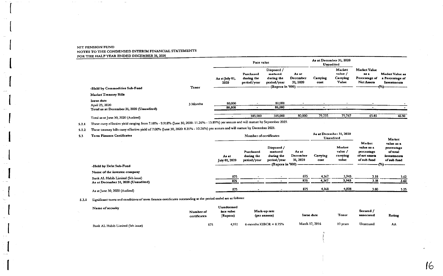|                                           |          |                        |                                        | As at December 31, 2020<br><b>Unaudited</b>                              |                               |                  |                                        |                                                                  |                                                   |
|-------------------------------------------|----------|------------------------|----------------------------------------|--------------------------------------------------------------------------|-------------------------------|------------------|----------------------------------------|------------------------------------------------------------------|---------------------------------------------------|
| -Held by Commodities Sub-Fund             | Tenor    | As at July 01,<br>2020 | Purchased<br>during the<br>period/year | Disposed /<br>matured<br>during the<br>period/year<br>(Rupees in '000) - | As at<br>December<br>31, 2020 | Carrying<br>cost | Market<br>value /<br>Carrying<br>Value | <b>Market Value</b><br>282<br>Percentage of<br><b>Net Assets</b> | Market Value as<br>a Percentage of<br>Investments |
| Market Treasury Bills                     |          |                        |                                        |                                                                          |                               |                  |                                        |                                                                  |                                                   |
| Issue date<br>April 23, 2020              | 3 Months | 80,000                 |                                        | 80,000                                                                   |                               |                  |                                        |                                                                  |                                                   |
| Total as at December 31, 2020 (Unaudited) |          | 80,000                 |                                        | 80,000                                                                   |                               |                  | ________                               | and the control of the form of the control of the control of     |                                                   |
| Total as at June 30, 2020 (Audited)       |          |                        | 385,000                                | 305,000                                                                  | 80,000                        | 79,735           | 79,767                                 | 65.85                                                            | 46.90                                             |

5.2.1 These carry effective yield ranging from 7.18% - 9.918% (June 30, 2020: 11.26% - 13.89%) per annum and will mature by September 2029.

5.2.2 These treasury bills carry effective yield of 7.00% (June 30, 2020: 8.21% - 10.26%) per annum and will mature by December 2021.

| 5.3 | Term Finance Certificates           |                        | Number of certificates                 |                                                                             |                               |                  |                                        |                                                                    | Market                                                             |
|-----|-------------------------------------|------------------------|----------------------------------------|-----------------------------------------------------------------------------|-------------------------------|------------------|----------------------------------------|--------------------------------------------------------------------|--------------------------------------------------------------------|
|     | -Held by Debt Sub-Fund              | As at<br>July 01, 2020 | Purchased<br>during the<br>period/year | Disposed /<br>matured<br>during the<br>period/year<br>- (Rupces in '000) -- | As at<br>December<br>31, 2020 | Carrying<br>cost | Market<br>value /<br>carrying<br>value | Market<br>value as a<br>percentage<br>of net sesets<br>of sub fund | value as a<br>percentage<br>of total<br>investments<br>of sub fund |
|     | Name of the investee company        |                        |                                        |                                                                             |                               |                  |                                        |                                                                    |                                                                    |
|     | Bank AL Habib Limited (5th issue)   | 875                    |                                        |                                                                             | 875                           | 4,367            | 3,943                                  | 3.18                                                               | 3.62                                                               |
|     | As at December 31, 2020 (Unaudited) | 875                    |                                        |                                                                             | 875                           | 4.367            | 3,943                                  | 3.18                                                               | 3.62                                                               |
|     | As at June 30, 2020 (Audited)       | 875                    | ______                                 |                                                                             | 875                           | 4,368            | 4,008                                  | 3.80                                                               | 3.25                                                               |

5.3.1 Significant terms and conditions of term finance certificates outstanding at the period ended are as follows:

| Name of security                  | Number of<br>certificates | Unredeemed<br>face value<br>(Rupces) | Mark-up rate<br>$($ per annum $)$ | Issue date     | Tenor    | Secured /<br>unsccured | Raung |
|-----------------------------------|---------------------------|--------------------------------------|-----------------------------------|----------------|----------|------------------------|-------|
| Bank AL Habib Limited (5th issue) | 875                       | 4.992                                | 6-months KIBOR $+$ 0.75%          | March 17, 2016 | 10 years | Unsecured              | AA    |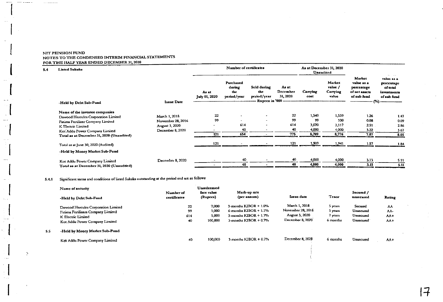$\omega$  is denoted by

**ALC** 

**The Commission Commission** 

 $5.4$ 

 $5.5$ 

 $\Delta$ 

| <b>Listed Sukuks</b>                      |                   |                               |                                           | As at December 31, 2020<br>Unaudited                           |                               |                  |                                        |                                                                    |                                                                                   |
|-------------------------------------------|-------------------|-------------------------------|-------------------------------------------|----------------------------------------------------------------|-------------------------------|------------------|----------------------------------------|--------------------------------------------------------------------|-----------------------------------------------------------------------------------|
|                                           | <b>Issue Date</b> | As at<br><b>July 01, 2020</b> | Purchased<br>during<br>the<br>period/year | Sold during<br>the<br>period/year<br><b>Rupees in '000 ---</b> | As at<br>December<br>31, 2020 | Carrying<br>cost | Market<br>value /<br>Carrying<br>value | Market<br>value as a<br>percentage<br>of net assets<br>of sub fund | And Control<br>value as a<br>percentage<br>of total<br>investments<br>of sub fund |
| -Held by Debt Sub-Fund                    |                   |                               |                                           |                                                                |                               |                  |                                        |                                                                    |                                                                                   |
| Name of the investee companies            |                   |                               |                                           |                                                                |                               |                  |                                        |                                                                    |                                                                                   |
| Dawood Hercules Corporation Limited       | March 1, 2018     | 22                            | ٠.                                        | $\blacksquare$                                                 | 22                            | 1,540            | 1,559                                  | 1.26                                                               | 1.43                                                                              |
| Fatima Fertilizer Company Limited         | November 28, 2016 | 99                            | $\overline{\phantom{0}}$                  | $\overline{\phantom{0}}$                                       | 99                            | 99               | 100                                    | 0.08                                                               | 0.09                                                                              |
| K Electric Limited                        | August 3, 2020    | $\sim$                        | 614                                       |                                                                | 614                           | 3.070            | 3,117                                  | 2.51                                                               | 2.86                                                                              |
| Kot Addu Power Company Limited            | December 8, 2020  | $\overline{\phantom{0}}$      | 40                                        |                                                                | 40                            | 4,000            | 4,000                                  | 3.22                                                               | 3.67                                                                              |
| Total as at December 31, 2020 (Unaudited) |                   | 121                           | 654                                       |                                                                | 775                           | 8,709            | 6,776                                  | 7.07                                                               | 8.05                                                                              |
| Total as at June 30, 2020 (Audited)       |                   | 121                           |                                           |                                                                | 121                           | 1,909            | 1,941                                  | 1.57                                                               | 1.84                                                                              |
| -Held by Money Market Sub-Fund            |                   |                               |                                           |                                                                |                               |                  |                                        |                                                                    |                                                                                   |
| Kot Addu Power Company Limited            | December 8, 2020  |                               | 40                                        |                                                                | 40                            | 4,000            | 4,000                                  | 3.13                                                               | 5.11                                                                              |
| Total as at December 31, 2020 (Unaudtied) |                   |                               | 40                                        |                                                                | 40                            | 4,000            | 4,000                                  | 3.13                                                               | 5.11                                                                              |

## 5.4.1 Significant terms and conditions of listed Sukuks outstanding at the period end are as follows:

| Name of security                                                                                                                  |                           | Unredeemed                         |                                                                                                                 |                                                                          |                                           |                                                |                                    |
|-----------------------------------------------------------------------------------------------------------------------------------|---------------------------|------------------------------------|-----------------------------------------------------------------------------------------------------------------|--------------------------------------------------------------------------|-------------------------------------------|------------------------------------------------|------------------------------------|
| -Held by Debt Sub-Fund                                                                                                            | Number of<br>certificates | face value<br>(Rupees)             | Mark-up rate<br>(per annum)                                                                                     | Issue date                                                               | Tenor                                     | Secured /<br>unsecured                         | Rating                             |
| Dawood Hercules Corporation Limited<br>Fatima Fertilizers Company Limited<br>K Electric Limited<br>Kot Addu Power Company Limited | 22<br>99<br>614<br>40     | 7,000<br>1,000<br>5,000<br>100,000 | $3$ -months KIBOR $+1.0\%$<br>6-months $KIBOR + 1.1%$<br>$3$ -months KIBOR + $1.7\%$<br>3-months $KIBOR + 0.7%$ | March 1, 2018<br>November 28, 2016<br>August 3, 2020<br>December 8, 2020 | 5 years<br>5 years<br>7 years<br>6 months | Secured<br>Unsecured<br>Unsecured<br>Unsecured | ΛA<br><b>AA-</b><br>$AA+$<br>$AA+$ |
| -Held by Money Market Sub-Fund                                                                                                    |                           |                                    |                                                                                                                 |                                                                          |                                           |                                                |                                    |
| Kot Addu Power Company Limited                                                                                                    | 40                        | 100,000                            | 3-months $KIBOR + 0.7%$                                                                                         | December 8, 2020                                                         | 6 months                                  | Unsecured                                      | AA+                                |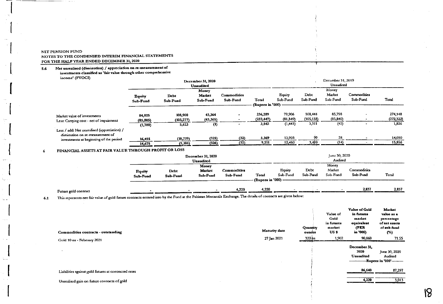Net unrealised (diminution) / appreciation on re-measurement of  $5.6$ 

investments classified as 'fair value through other comprehensive

income<sup>t</sup> (FVOCD)

| $m$ . $m$ . $m$ . $m$ . $m$ . $m$ . $m$ . $m$ . $m$ . $m$ . $m$ . $m$ . $m$ . $m$ . $m$ . $m$ . $m$ . $m$ . $m$ . $m$ . $m$ . $m$ . $m$ . $m$ . $m$ . $m$ . $m$ . $m$ . $m$ . $m$ . $m$ . $m$ . $m$ . $m$ . $m$ . $m$ . $m$ . |                           |                       | December 31, 2020<br><b>Unaudited</b> |                         | December 31, 2019<br>Unaudited |                    |                       |                             |                         |                       |  |
|-------------------------------------------------------------------------------------------------------------------------------------------------------------------------------------------------------------------------------|---------------------------|-----------------------|---------------------------------------|-------------------------|--------------------------------|--------------------|-----------------------|-----------------------------|-------------------------|-----------------------|--|
|                                                                                                                                                                                                                               | <b>Equity</b><br>Sub-Fund | Debt<br>Sub-Fund      | Money<br>Market<br>Sub-Fund           | Commodities<br>Sub-Fund | Total<br>(Rupees in '000)      | Equity<br>Sub-Fund | Debt<br>Sub-Fund      | Money<br>Market<br>Sub-Fund | Commodities<br>Sub-Fund | Total                 |  |
| Market value of investments<br>Less: Carrying cost - net of impairment                                                                                                                                                        | 84,025<br>(85, 805)       | 108,900<br>(103, 277) | 43,364<br>(43, 365)                   | $\overline{a}$          | 236,289<br>(232, 447)          | 79,906<br>(81,349) | 108,441<br>(105, 133) | 85,798<br>(85, 840)         | $\rightarrow$           | 274,148<br>(272, 322) |  |
| Less / add: Net unrealised (appreciation) /<br>diminution on re-measurement of                                                                                                                                                | (1,780)                   | 5,623                 | $\bf(1)$                              |                         | 3,842                          | (1, 443)           | 3,311<br>99           | (42)<br>28                  |                         | 1,626                 |  |
| investments at beginning of the period                                                                                                                                                                                        | 16,455<br>14,675          | (10, 729)<br>(5,106)  | (325)<br>(326)                        | (32)<br>(32)            | 5,369<br>9,211                 | 13,903<br>12,460   | 3,410                 | (14)                        |                         | 14,030<br>15,856      |  |

#### FINANCIAL ASSETS AT FAIR VALUE THROUGH PROFIT OR LOSS  $\epsilon$

|                           | <b>December 31, 2020</b><br>Unaudited |                             |                                |                              |                           | June 30, 2020<br>Audited |                             |                         |       |  |  |
|---------------------------|---------------------------------------|-----------------------------|--------------------------------|------------------------------|---------------------------|--------------------------|-----------------------------|-------------------------|-------|--|--|
| <b>Equity</b><br>Sub-Fund | Debt<br>Sub-Fund                      | Money<br>Market<br>Sub-Fund | <b>Commodities</b><br>Sub-Fund | Total<br>(Rupees in '000) -- | <b>Equity</b><br>Sub-Fund | Debt<br>Sub-Fund         | Money<br>Market<br>Sub-Fund | Commodities<br>Sub-Fund | Total |  |  |

|                      |                                                 | 4.220                                 | 4.220 |                                                                                                                                                                                                                                                        |  | 2.837 | 2.837 |
|----------------------|-------------------------------------------------|---------------------------------------|-------|--------------------------------------------------------------------------------------------------------------------------------------------------------------------------------------------------------------------------------------------------------|--|-------|-------|
| Future gold contract |                                                 | <b><i><u>Property</u></i></b><br>____ |       | --<br><b><i><u>PERSONAL PROPERTY OF STATE OF THE STATE OF THE STATE OF THE STATE OF THE STATE OF THE STATE OF THE STATE OF THE STATE OF THE STATE OF THE STATE OF THE STATE OF THE STATE OF THE STATE OF THE STATE OF THE STATE OF THE STA</u></i></b> |  |       |       |
|                      | the contract of the contract of the contract of | --                                    |       |                                                                                                                                                                                                                                                        |  |       |       |

This represents net fair value of gold future contracts entered into by the Fund at the Pakistan Mercantile Exchange. The details of contracts are given below:  $6.1$ 

| Commodities contracts - outstanding                  | <b>Maturity date</b> | <b>Quantity</b><br><b>OUDCES</b> | Value of<br>Gold<br>in futures<br>market<br>US <sub>5</sub> | Value of Gold<br>in futures<br>market<br>equivalent<br>(PKR<br>in '000) | Market<br>value as a<br>percentage<br>of net assets<br>of sub fund<br>$(\%)$ |
|------------------------------------------------------|----------------------|----------------------------------|-------------------------------------------------------------|-------------------------------------------------------------------------|------------------------------------------------------------------------------|
| Gold 10 oz - February 2021                           | 27 Jan 2021          | $320$ bz                         | 1,902                                                       | 90,860                                                                  | 71.55                                                                        |
|                                                      |                      |                                  |                                                             | December 31,<br>2020<br><b>Unaudited</b>                                | June 30, 2020<br>Audited<br>--Rupees in '000'----------                      |
| Liabilities against gold futures at contracted rates |                      |                                  |                                                             | 86,640                                                                  | 87,297<br><b>BELLEVILLE AND RESIDENCE</b>                                    |
| Unrealised gain on future contracts of gold          |                      |                                  |                                                             | 4,220                                                                   | 3,013                                                                        |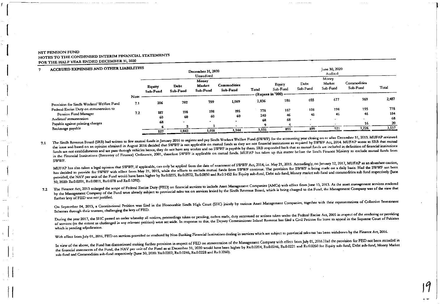$\overline{ }$ 

| ACCRUED EXPENSES AND OTHER LIABILITIES                                                   |             |                    |                  | December 31, 2020<br>Unaudited |                         |                  | June 30, 2020<br>Audited                 |                                 |                             |                             |             |                  |  |  |
|------------------------------------------------------------------------------------------|-------------|--------------------|------------------|--------------------------------|-------------------------|------------------|------------------------------------------|---------------------------------|-----------------------------|-----------------------------|-------------|------------------|--|--|
|                                                                                          |             | Equity<br>Sub-Fund | Debt<br>Sub-Fund | Money<br>Market<br>Sub-Fund    | Commodities<br>Sub-Fund | Total            | Equity<br>Sub-Fund<br>(Rupees in '000) - | Debt<br>Sub-Fund                | Money<br>Market<br>Sub-Fund | Commodities<br>Sub-Fund     | Total       |                  |  |  |
| Provision for Sindh Workers' Welfare Fund                                                | Note<br>7.1 | 206                | 782              | 759                            | 1,089                   | 2.836            | 186                                      | 655                             | 677                         | 969                         | 2,487       |                  |  |  |
| Federal Excise Duty on remuneration to<br>Pension Fund Manager<br>Auditors' remuneration | 7.2         |                    | 187<br>60        | 198<br>60                      | 198<br>60               | 195<br>60        | 778<br>240                               | 187<br>46                       | 198<br>46                   | 198<br>46<br>$\overline{a}$ | 195<br>46   | 778<br>184<br>68 |  |  |
| Payable against printing charges<br>Brokerage payable                                    |             | 68<br>527          | $\sim$<br>1,042  | $\sim$<br>1,018                | $\sim$<br>1,344         | 68<br>۰<br>3,931 | 68<br>899                                | $\overline{\phantom{a}}$<br>899 | 921                         | 16<br>1,226                 | 20<br>3,537 |                  |  |  |

The Sindh Revenue Board (SRB) had written to few mutual funds in January 2016 to register and pay Sindh Workers Welfare Fund (SWWF) for the accounting year closing on or after December 31, 2013. MUFAP reviewed the issue and based on an opinion obtained in August 2016 decided that SWWF is not applicable on mutual funds as they are not financial institutions as required by SWWF Act, 2014. MUFAP wrote to SRB that mutual 71 funds are not establishments and are pass through vehicles hence, they do not have any worker and no SWWF is payable by them. SRB responded back that as mutual funds are included in definition of financial institutions in the Financial Institutions (Recovery of Finance) Ordinance, 2001, therefore SWWF is applicable on mutual funds. MUFAP has taken up this matter before the Sindh Finance Ministry to exclude mutual funds from SWWF.

MUFAP has also taken a legal opinion that SWWF, if applicable, can only be applied from the date of enactment of SWWF Act, 2014, i.e. May 21, 2015. Accordingly, on January 12, 2017, MUFAP as an abundant caution, has decided to provide for SWWF with effect from May 21, 2015, while the efforts to exclude mutual funds from SWWF continue. The provision for SWWF is being made on a daily basis. Had the SWWF not been provided, the NAV per unit of the Fund would have been higher by Rs.0.0225, Rs.0.0972, Rs.0.0850 and Rs.0.1452 for Equity sub-fund, Debt sub-fund, Money market sub-fund and commodities sub fund respectively (June 30, 2020: Rs.0.0201, Rs.0.0811, Rs.0.078 and Rs.0.1292).

7.2 The Finance Act, 2013 enlarged the scope of Federal Excise Duty (FED) on financial services to include Asset Management Companies (AMCs) with effect from June 13, 2013. As the asset management services rendered by the Management Company of the Fund were already subject to provincial sales tax on services levied by the Sindh Revenue Board, which is being charged to the Fund, the Management Company was of the view that further levy of FED was not justified.

On September 04, 2013, a Constitutional Petition was filed in the Honourable Sindh High Court (SHC) jointly by various Asset Management Companies, together with their representatives of Collective Investment Schemes through their trustees, challenging the levy of FED.

During the year 2017, the SHC passed an order whereby all notices, proceedings taken or pending, orders made, duty recovered or actions taken under the Federal Excise Act, 2005 in respect of the rendering or providing of services (to the extent as challenged in any relevant petition) were set aside. In response to this, the Deputy Commissioner Inland Revenue has filed a Civil Petition for leave to appeal in the Supreme Court of Pakistan which is pending adjudication.

With effect from July 01, 2016, FED on services provided or rendered by Non-Banking Financial Institutions dealing in services which are subject to provincial sales tax has been withdrawn by the Finance Act, 2016.

In view of the above, the Fund has discontinued making further provision in respect of FED on remuneration of the Management Company with effect from July 01, 2016.Had the provision for FED not been recorded in the financial statements of the Fund, the NAV per unit of the Fund as at December 31, 2020 would have been higher by Rs.0.0204, Rs.0.0246, Rs.0.0221 and Rs.6.0260 for Equity sub-fund, Debt sub-fund, Money Market sub-fund and Commodities sub-fund respectively (June 30, 2020: Rs.0.0202, Rs.0.0246, Rs.0.0228 and Rs.0.0260).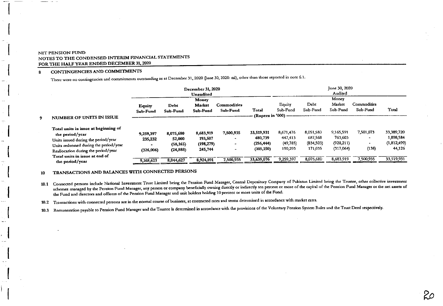#### CONTINGENCIES AND COMMITMENTS 8

There were no contingencies and commitments outstanding as at December 31, 2020 (June 30, 2020: nil), other than those reported in note 6.1.

|                                                                                                                                                                                |                                   |                                               | December 31, 2020<br><b>Unaudited</b>         |                                                                    | June 30, 2020<br>Audited                          |                                              |                                               |                                                 |                                                        |                                                  |  |  |
|--------------------------------------------------------------------------------------------------------------------------------------------------------------------------------|-----------------------------------|-----------------------------------------------|-----------------------------------------------|--------------------------------------------------------------------|---------------------------------------------------|----------------------------------------------|-----------------------------------------------|-------------------------------------------------|--------------------------------------------------------|--------------------------------------------------|--|--|
| NUMBER OF UNITS IN ISSUE                                                                                                                                                       | <b>Equity</b><br>Sub-Fund         | Debt<br>Sub-Fund                              | Money<br>Market<br>Sub-Fund                   | Commodities<br>Sub-Fund                                            | Total                                             | Equity<br>Sub-Fund                           | Debt<br>Sub-Fund                              | Money<br>Market<br>Sub-Fund                     | Commodities<br>Sub-Fund                                | Total                                            |  |  |
|                                                                                                                                                                                | (Rupees in '000) -----            |                                               |                                               |                                                                    |                                                   |                                              |                                               |                                                 |                                                        |                                                  |  |  |
| Total units in issue at beginning of<br>the period/year<br>Units issued during the period/year<br>Units redeemed during the period/year<br>Reallocation during the period/year | 9,259,397<br>235,232<br>(326,006) | 8,075,680<br>52,000<br>(58, 165)<br>(24, 888) | 8,683,919<br>193,507<br>(198, 279)<br>245,744 | 7,500,935<br>$\ddot{\phantom{1}}$<br>-<br>$\overline{\phantom{a}}$ | 33,519,931<br>480,739<br>(256, 444)<br>(105, 150) | 8,671,476<br>447,413<br>(49, 785)<br>190,293 | 8,051,580<br>687,568<br>(834, 503)<br>171,035 | 9,165,591<br>763,603<br>(928, 211)<br>(317,064) | 7.501.073<br>$\overline{ }$<br>$\blacksquare$<br>(138) | 33,389,720<br>1,898,584<br>(1,812,499)<br>44,126 |  |  |
| Total units in issue at end of<br>the period/year                                                                                                                              | 9,168,623                         | 8,044,627                                     | 8,924,891                                     | 7,500,935                                                          | 33,639,076                                        | 9,259,397                                    | 8.075,680                                     | 8,683,919                                       | 7,500,935                                              | 33,519,931                                       |  |  |

TRANSACTIONS AND BALANCES WITH CONNECTED PERSONS 10

10.1 Connected persons include National Investment Trust Limited being the Pension Fund Manager, Central Depository Company of Pakistan Limited being the Trustee, other collective investment schemes managed by the Pension Fund Manager, any person or company beneficially owning directly or indirectly ten percent or more of the capital of the Pension Fund Manager or the net assets of the Fund and directors and officers of the Pension Fund Manager and unit holders holding 10 percent or more units of the Fund.

20

10.2 Transactions with connected persons are in the normal course of business, at contracted rates and terms determined in accordance with market rates.

10.3 Remuneration payable to Pension Fund Manager and the Trustee is determined in accordance with the provisions of the Voluntary Pension System Rules and the Trust Deed respectively.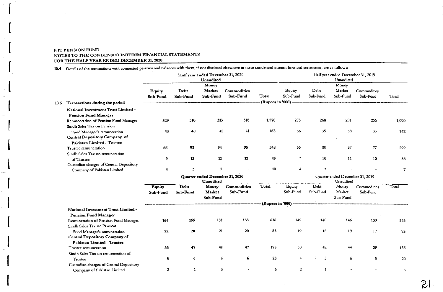10.4 Details of the transactions with connected persons and balances with them, if not disclosed elsewhere in these condensed interim financial statements, are as follows:

|      |                                                                        |               |              | Half year ended December 31, 2020            |             | Half year ended December 31, 2019 |                                              |              |                 |             |       |  |  |
|------|------------------------------------------------------------------------|---------------|--------------|----------------------------------------------|-------------|-----------------------------------|----------------------------------------------|--------------|-----------------|-------------|-------|--|--|
|      |                                                                        |               |              | Unaudited<br>Money                           |             | Unaudited                         |                                              |              |                 |             |       |  |  |
|      |                                                                        | <b>Equity</b> | <b>D</b> cbt | Market                                       | Commodities |                                   | Equity                                       | Debt         | Money<br>Market | Commodities |       |  |  |
|      |                                                                        | Sub-Fund      | Sub-Fund     | Sub-Fund                                     | Sub-Fund    | Total                             | Sub-Fund                                     | Sub-Fund     | Sub-Fund        | Sub-Fund    | Total |  |  |
|      |                                                                        |               |              |                                              |             |                                   | (Rupees in '000) ------                      |              |                 |             |       |  |  |
| 10.5 | Transactions during the period                                         |               |              |                                              |             |                                   |                                              |              |                 |             |       |  |  |
|      | National Investment Trust Limited -<br><b>Pension Fund Manager</b>     |               |              |                                              |             |                                   |                                              |              |                 |             |       |  |  |
|      | Remuneration of Pension Fund Manager                                   | 329           | 310          | 313                                          | 318         | 1,270                             | 275                                          | 268          | 291             | 256         | 1,090 |  |  |
|      | Sindh Sales Tax on Pension                                             |               |              |                                              |             |                                   |                                              |              |                 |             |       |  |  |
|      | Fund Manager's remuneration                                            | 43            | 40           | 41                                           | 41          | 165                               | 36                                           | 35           | 38              | 33          | 142   |  |  |
|      | <b>Central Depository Company of</b>                                   |               |              |                                              |             |                                   |                                              |              |                 |             |       |  |  |
|      | Pakistan Limited - Trustee                                             |               |              |                                              |             |                                   |                                              |              |                 |             |       |  |  |
|      | Trustee remuneration                                                   | 66            | 93           | 94                                           | 95          | 348                               | 55                                           | 80           | 87              | 77          | 299   |  |  |
|      | Sindh Sales Tax on remuneration                                        |               |              |                                              |             |                                   |                                              |              |                 |             |       |  |  |
|      | of Trustee                                                             | 9             | $12 \,$      | 12                                           | 12          | 45                                | 7                                            | 10           | 11              | 10          | 38    |  |  |
|      | Custodian charges of Central Depository                                |               |              |                                              |             |                                   |                                              |              |                 |             |       |  |  |
|      | Company of Pakistan Limited                                            | 4             | 3            | 3                                            |             | 10                                | 4                                            | 3            |                 |             | 7     |  |  |
|      |                                                                        |               |              | Quarter ended December 31, 2020<br>Unaudited |             |                                   | Quarter ended December 31, 2019<br>Unaudited |              |                 |             |       |  |  |
|      |                                                                        | <b>Equity</b> | Debt         | Money                                        | Commodities | Total                             | <b>Equity</b>                                | Debt         | Money           | Commodities | Total |  |  |
|      |                                                                        | Sub-Fund      | Sub-Fund     | Market                                       | Sub-Fund    |                                   | Sub-Fund                                     | Sub-Fund     | Market          | Sub-Fund    |       |  |  |
|      |                                                                        |               |              | Sub-Fund                                     |             |                                   |                                              |              | Sub-Fund        |             |       |  |  |
|      |                                                                        |               |              |                                              |             |                                   |                                              |              |                 |             |       |  |  |
|      | National Investment Trust Limited -<br><b>Pension Fund Manager</b>     |               |              |                                              |             |                                   |                                              |              |                 |             |       |  |  |
|      | Remuneration of Pension Fund Manager                                   | 164           | 155          | 159                                          | 158         | 636                               | 149                                          | 140          | 146             | 130         | 565   |  |  |
|      | Sindh Sales Tax on Pension                                             |               |              |                                              |             |                                   |                                              |              |                 |             |       |  |  |
|      | Fund Manager's remuneration                                            | 22            | 20           | 21                                           | 20          | 83                                | 19                                           | 18           | 19              | 17          | 73    |  |  |
|      | <b>Central Depository Company of</b>                                   |               |              |                                              |             |                                   |                                              |              |                 |             |       |  |  |
|      | Pakistan Limited - Trustee                                             |               |              |                                              |             |                                   |                                              |              |                 |             |       |  |  |
|      | Trustee remuneration                                                   | 33            | 47           | 48                                           | 47          | 175                               | 30                                           | 42           | 44              | 39          | 155   |  |  |
|      | Sindh Sales Tax on remuneration of                                     |               |              |                                              |             |                                   |                                              |              |                 |             |       |  |  |
|      | Trustee                                                                | 5             | 6            | 6                                            | 6           | 23                                | $\overline{4}$                               | 5            | 6               | 5           | 20    |  |  |
|      | Custodian charges of Central Depository<br>Company of Pakistan Limited | $\mathbf{2}$  | $\mathbf{1}$ | $\mathbf{3}$                                 |             | 6                                 | $\overline{2}$                               | $\mathbf{1}$ |                 |             | 3     |  |  |
|      |                                                                        |               |              |                                              |             |                                   |                                              |              |                 |             |       |  |  |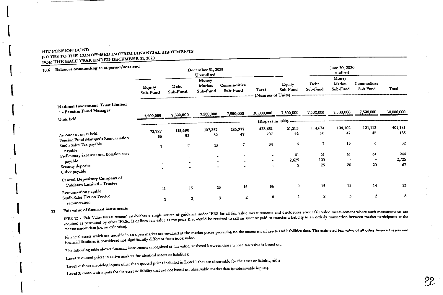| 10.6 Balances outstanding as at period/year end                                                                                                         |                    |                         | December 31, 2020<br>Unaudited |                                            | June 30, 2020<br>Audited          |                                                  |                                       |                                 |                                          |                                            |  |  |
|---------------------------------------------------------------------------------------------------------------------------------------------------------|--------------------|-------------------------|--------------------------------|--------------------------------------------|-----------------------------------|--------------------------------------------------|---------------------------------------|---------------------------------|------------------------------------------|--------------------------------------------|--|--|
|                                                                                                                                                         | Equity<br>Sub-Fund | <b>Debt</b><br>Sub-Fund | Money<br>Market<br>Sub-Fund    | Commodities<br>Sub-Fund                    | Total<br>(Number of Units) -      | Equity<br>Sub-Fund                               | Debt<br>Sub-Fund                      | Money<br>Market<br>Sub-Fund     | Commodities<br>Sub-Fund                  | Total                                      |  |  |
| National Investment Trust Limited<br>- Pension Fund Manager                                                                                             | 7,500,000          | 7,500,000               | 7,500,000                      | 7,500,000                                  | 30,000,000                        | 7,500,000                                        | 7,500,000                             | 7,500,000                       | 7,500,000                                | 30,000,000                                 |  |  |
| Units held                                                                                                                                              |                    |                         |                                |                                            |                                   | (Rupees in '000) ---                             |                                       |                                 |                                          |                                            |  |  |
| Amount of units held<br>Pension Fund Manager's Remuneration<br>Sindh Sales Tax payable<br>payable<br>Preliminary expenses and flotation cost<br>payable | 73,727<br>56<br>7  | 115,690<br>52<br>7      | 107,257<br>52<br>13            | 126,977<br>47<br>$\mathbf{7}$<br>$\bullet$ | 423,651<br>207<br>34<br>$\bullet$ | 61,293<br>46<br>6<br>61<br>2,625<br>$\mathbf{z}$ | 114,674<br>50<br>7<br>61<br>100<br>25 | 104,102<br>47<br>13<br>61<br>20 | 121,112<br>42<br>6<br>61<br>$\sim$<br>20 | 401,181<br>185<br>32<br>244<br>2,725<br>67 |  |  |
| Security deposits<br>Other payable                                                                                                                      |                    |                         |                                |                                            |                                   |                                                  |                                       |                                 |                                          |                                            |  |  |
| <b>Central Depository Company of</b><br>Pakistan Limited - Trustee<br>Remuneration payable<br>Sindh Sales Tax on Trustee<br>remuneration                | 11<br>1            | 15<br>$\mathbf{2}$      |                                | 15<br>15<br>$\mathbf{z}$<br>3              | 56<br>8                           | 9<br>$\mathbf{1}$                                | 15<br>$\overline{c}$                  | 15<br>3                         | 14<br>$\mathbf{2}$                       | 53<br>8                                    |  |  |

#### Fair value of financial instruments 11

IFRS 13 - 'Fair Value Measurement' establishes a single source of guidance under IFRS for all fair value measurements and disclosures about fair value measurement where such measurements are required as permitted by other IFRSs. It defines fair value as the price that would be received to sell an asset or paid to transfer a liability in an orderly transaction between market participants at the required as perm measurement date (i.e. an exit price).

Financial assets which are tradable in an open market are revalued at the market prices prevailing on the statement of assets and liabilities date. The estimated fair value of all other financial assets and financial liabilities is considered not significantly different from book value.

The following table shows financial instruments recognized at fair value, analyzed between those whose fair value is based on:

Level 1: quoted prices in active markets for identical assets or liabilities;

Level 2: those involving inputs other than quoted prices included in Level 1 that are observable for the asset or liability, eithe

Level 3: those with inputs for the asset or liability that are not based on observable market data (unobservable inputs).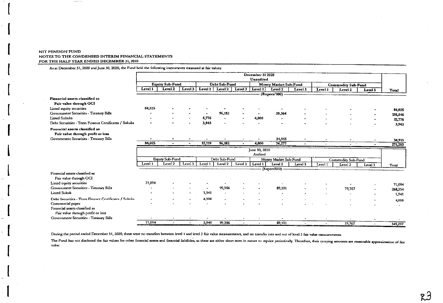As at December 31, 2020 and June 30, 2020, the Fund held the following instruments measured at fair values:

|                                                                     | December 31 2020 |                          |         |                       |               |                          |                                  |                       |         |                           |                                    |           |         |
|---------------------------------------------------------------------|------------------|--------------------------|---------|-----------------------|---------------|--------------------------|----------------------------------|-----------------------|---------|---------------------------|------------------------------------|-----------|---------|
|                                                                     |                  |                          |         |                       |               |                          | Unaudited                        |                       |         |                           |                                    |           |         |
|                                                                     |                  | <b>Equity Sub-Fund</b>   |         | Debt Sub-Fund         |               |                          | Money Market Sub-Fund            |                       |         | <b>Commodity Sub-Fund</b> |                                    |           |         |
|                                                                     | Level 1          | Level 2                  | Level 3 | Level 1               | Level 2       | Level 3                  | Level 1                          | Level 2               | Level 3 | Level 1                   | Level 2                            | Level 3   | Total   |
|                                                                     |                  |                          |         |                       |               |                          |                                  | (Rupees'000)-         |         |                           |                                    |           |         |
| Financial assets classified as<br>Fair value through OCI            |                  |                          |         |                       |               |                          |                                  |                       |         |                           |                                    |           |         |
| Listed equity securities                                            | 84,025           |                          |         |                       |               |                          |                                  |                       |         |                           |                                    |           | 84,025  |
| Government Securities - Treasury Bills                              |                  |                          |         | $\sim$                | 96,182        |                          | $\bullet$                        | 39,364                |         |                           |                                    |           | 135,546 |
| <b>Listed Sukuks</b>                                                |                  |                          |         | 8,776                 |               | $\overline{\phantom{a}}$ | 4,000                            | $\overline{ }$        |         |                           |                                    |           | 12,776  |
| Debt Securities - Term Finance Certificates / Sukuks                |                  |                          |         | 3,943                 |               |                          |                                  |                       |         |                           |                                    |           | 3,943   |
| Financial assets classified as<br>Fair value through profit or loss |                  |                          |         |                       |               |                          |                                  |                       |         |                           |                                    |           |         |
| Government Securities - Treasury Bills                              |                  |                          |         |                       |               |                          |                                  | 34,913                |         |                           |                                    |           | 34,913  |
|                                                                     | 84,025           | $\overline{\phantom{a}}$ |         | 12,719                | 96,182        |                          | 4,000                            | 74,277                |         |                           | $\sim$ $\sim$                      | $\bullet$ | 271,203 |
|                                                                     |                  |                          |         |                       |               |                          | June 30, 2020                    |                       |         |                           |                                    |           |         |
|                                                                     |                  |                          |         |                       |               |                          | Audited                          |                       |         |                           |                                    |           |         |
|                                                                     |                  | <b>Equity Sub-Fund</b>   |         |                       | Debt Sub-Fund |                          |                                  | Money Market Sub-Fund |         |                           | Commodity Sub-Fund                 |           |         |
|                                                                     | Level 1          | Level 2                  | Level 3 | Level 1               | Level 2       | Level 3                  | Level 1                          | Level $2$             | Level 3 | Level 1                   | Level 2                            | Level 3   | Total   |
|                                                                     |                  |                          |         |                       |               |                          | ------------------- (Rupees'000) |                       |         |                           | ---------------------------------- |           |         |
| Financial assets classified as<br>Fair value through OCI            |                  |                          |         |                       |               |                          |                                  |                       |         |                           |                                    |           |         |
| Listed equity securities                                            | 71,094           |                          |         |                       |               |                          |                                  |                       |         |                           |                                    |           | 71,094  |
| Government Securities - Treasury Bills                              |                  |                          |         | $\tilde{\phantom{a}}$ | 99,386        |                          |                                  | 89,101                |         |                           | 79767                              |           | 268,254 |
| <b>Listed Sukuk</b>                                                 |                  |                          |         | 1,941                 |               |                          |                                  |                       |         |                           |                                    |           | 1,941   |
| Debt Securities - Term Finance Certificates / Sukuks                |                  |                          |         | 4,008                 |               |                          |                                  |                       |         |                           |                                    | $\bullet$ | 4.008   |
| Commercial paper                                                    |                  |                          |         |                       |               |                          |                                  |                       |         |                           |                                    |           |         |
| Financial assets classified as                                      |                  |                          |         |                       |               |                          |                                  |                       |         |                           |                                    |           |         |
| Fair value through profit or loss                                   |                  |                          |         |                       |               |                          |                                  |                       |         |                           |                                    |           |         |
| Government Securities - Treasury Bills                              |                  |                          |         |                       |               |                          |                                  |                       |         |                           |                                    |           |         |
|                                                                     |                  |                          |         |                       |               |                          |                                  |                       |         |                           |                                    |           |         |

During the period ended December 31, 2020, there were no transfers between level 1 and level 2 fair value measurements, and no transfer into and out of level 3 fair value measurements.

The Fund has not disclosed the fair values for other financial assets and financial liabilities, as these are either short term in nature or reprice periodically. Therefore, their carrying amounts are reasonable approximat value.